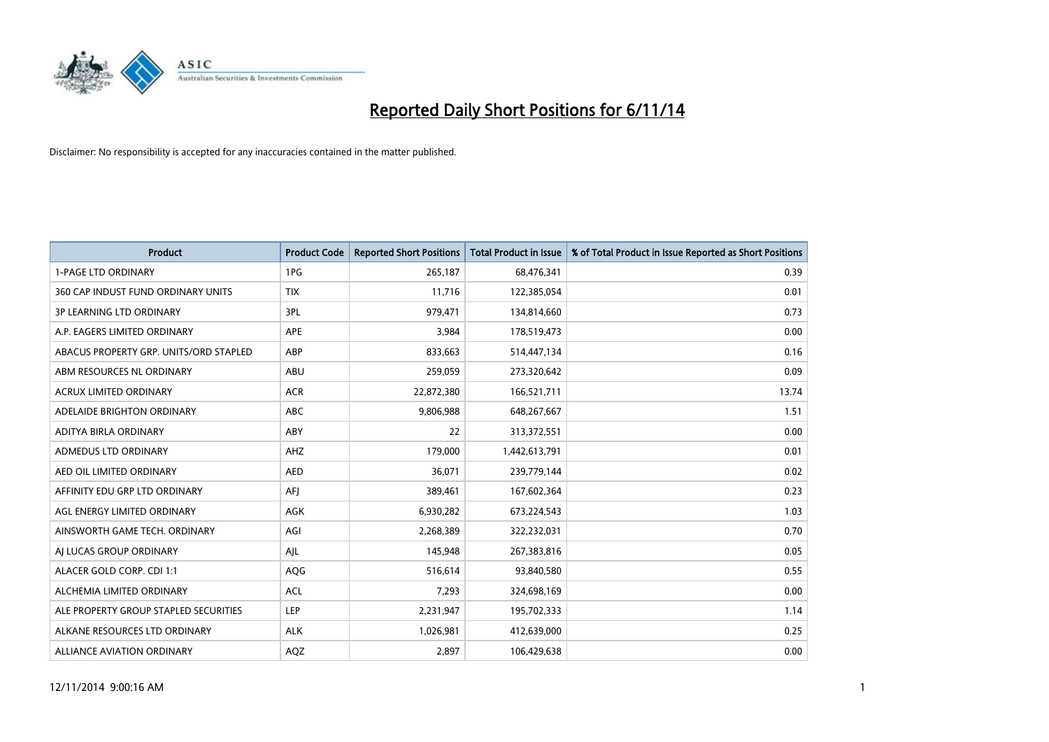

| <b>Product</b>                         | <b>Product Code</b> | <b>Reported Short Positions</b> | <b>Total Product in Issue</b> | % of Total Product in Issue Reported as Short Positions |
|----------------------------------------|---------------------|---------------------------------|-------------------------------|---------------------------------------------------------|
| <b>1-PAGE LTD ORDINARY</b>             | 1PG                 | 265,187                         | 68,476,341                    | 0.39                                                    |
| 360 CAP INDUST FUND ORDINARY UNITS     | <b>TIX</b>          | 11,716                          | 122,385,054                   | 0.01                                                    |
| <b>3P LEARNING LTD ORDINARY</b>        | 3PL                 | 979,471                         | 134,814,660                   | 0.73                                                    |
| A.P. EAGERS LIMITED ORDINARY           | APE                 | 3.984                           | 178,519,473                   | 0.00                                                    |
| ABACUS PROPERTY GRP. UNITS/ORD STAPLED | ABP                 | 833,663                         | 514,447,134                   | 0.16                                                    |
| ABM RESOURCES NL ORDINARY              | ABU                 | 259,059                         | 273,320,642                   | 0.09                                                    |
| <b>ACRUX LIMITED ORDINARY</b>          | <b>ACR</b>          | 22,872,380                      | 166,521,711                   | 13.74                                                   |
| ADELAIDE BRIGHTON ORDINARY             | <b>ABC</b>          | 9,806,988                       | 648,267,667                   | 1.51                                                    |
| ADITYA BIRLA ORDINARY                  | ABY                 | 22                              | 313,372,551                   | 0.00                                                    |
| ADMEDUS LTD ORDINARY                   | AHZ                 | 179,000                         | 1,442,613,791                 | 0.01                                                    |
| AED OIL LIMITED ORDINARY               | <b>AED</b>          | 36,071                          | 239,779,144                   | 0.02                                                    |
| AFFINITY EDU GRP LTD ORDINARY          | AFJ                 | 389,461                         | 167,602,364                   | 0.23                                                    |
| AGL ENERGY LIMITED ORDINARY            | AGK                 | 6,930,282                       | 673,224,543                   | 1.03                                                    |
| AINSWORTH GAME TECH. ORDINARY          | AGI                 | 2,268,389                       | 322,232,031                   | 0.70                                                    |
| AI LUCAS GROUP ORDINARY                | AJL                 | 145,948                         | 267,383,816                   | 0.05                                                    |
| ALACER GOLD CORP. CDI 1:1              | AQG                 | 516,614                         | 93,840,580                    | 0.55                                                    |
| ALCHEMIA LIMITED ORDINARY              | <b>ACL</b>          | 7,293                           | 324,698,169                   | 0.00                                                    |
| ALE PROPERTY GROUP STAPLED SECURITIES  | LEP                 | 2,231,947                       | 195,702,333                   | 1.14                                                    |
| ALKANE RESOURCES LTD ORDINARY          | <b>ALK</b>          | 1,026,981                       | 412,639,000                   | 0.25                                                    |
| ALLIANCE AVIATION ORDINARY             | AQZ                 | 2,897                           | 106,429,638                   | 0.00                                                    |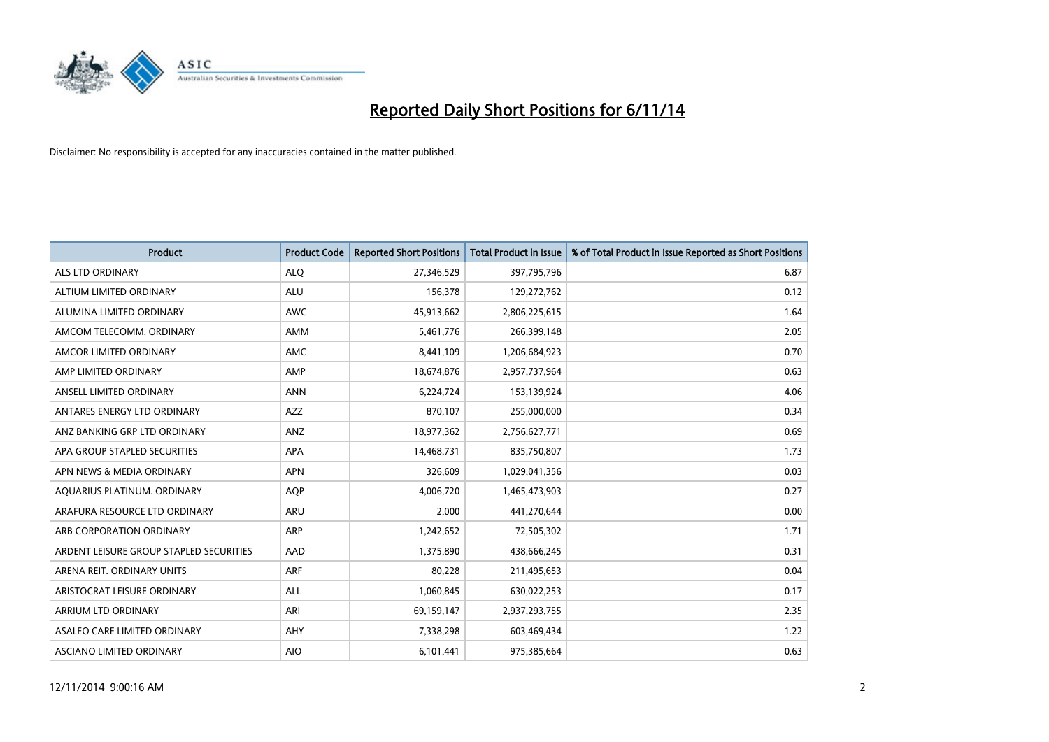

| <b>Product</b>                          | <b>Product Code</b> | <b>Reported Short Positions</b> | <b>Total Product in Issue</b> | % of Total Product in Issue Reported as Short Positions |
|-----------------------------------------|---------------------|---------------------------------|-------------------------------|---------------------------------------------------------|
| <b>ALS LTD ORDINARY</b>                 | <b>ALQ</b>          | 27,346,529                      | 397,795,796                   | 6.87                                                    |
| ALTIUM LIMITED ORDINARY                 | <b>ALU</b>          | 156,378                         | 129,272,762                   | 0.12                                                    |
| ALUMINA LIMITED ORDINARY                | <b>AWC</b>          | 45,913,662                      | 2,806,225,615                 | 1.64                                                    |
| AMCOM TELECOMM. ORDINARY                | AMM                 | 5,461,776                       | 266,399,148                   | 2.05                                                    |
| AMCOR LIMITED ORDINARY                  | AMC                 | 8,441,109                       | 1,206,684,923                 | 0.70                                                    |
| AMP LIMITED ORDINARY                    | AMP                 | 18,674,876                      | 2,957,737,964                 | 0.63                                                    |
| ANSELL LIMITED ORDINARY                 | <b>ANN</b>          | 6,224,724                       | 153,139,924                   | 4.06                                                    |
| ANTARES ENERGY LTD ORDINARY             | AZZ                 | 870,107                         | 255,000,000                   | 0.34                                                    |
| ANZ BANKING GRP LTD ORDINARY            | ANZ                 | 18,977,362                      | 2,756,627,771                 | 0.69                                                    |
| APA GROUP STAPLED SECURITIES            | APA                 | 14,468,731                      | 835,750,807                   | 1.73                                                    |
| APN NEWS & MEDIA ORDINARY               | <b>APN</b>          | 326,609                         | 1,029,041,356                 | 0.03                                                    |
| AQUARIUS PLATINUM. ORDINARY             | <b>AOP</b>          | 4,006,720                       | 1,465,473,903                 | 0.27                                                    |
| ARAFURA RESOURCE LTD ORDINARY           | ARU                 | 2,000                           | 441,270,644                   | 0.00                                                    |
| ARB CORPORATION ORDINARY                | ARP                 | 1,242,652                       | 72,505,302                    | 1.71                                                    |
| ARDENT LEISURE GROUP STAPLED SECURITIES | AAD                 | 1,375,890                       | 438,666,245                   | 0.31                                                    |
| ARENA REIT. ORDINARY UNITS              | ARF                 | 80,228                          | 211,495,653                   | 0.04                                                    |
| ARISTOCRAT LEISURE ORDINARY             | ALL                 | 1,060,845                       | 630,022,253                   | 0.17                                                    |
| ARRIUM LTD ORDINARY                     | ARI                 | 69,159,147                      | 2,937,293,755                 | 2.35                                                    |
| ASALEO CARE LIMITED ORDINARY            | AHY                 | 7,338,298                       | 603,469,434                   | 1.22                                                    |
| ASCIANO LIMITED ORDINARY                | <b>AIO</b>          | 6,101,441                       | 975,385,664                   | 0.63                                                    |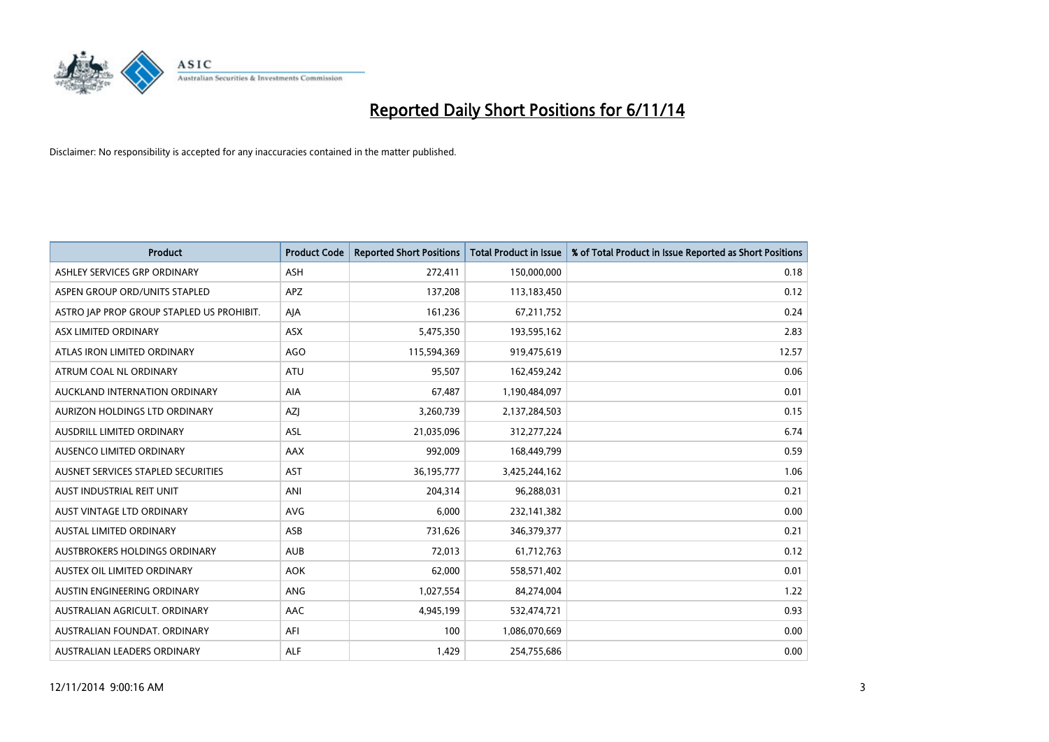

| <b>Product</b>                            | <b>Product Code</b> | <b>Reported Short Positions</b> | <b>Total Product in Issue</b> | % of Total Product in Issue Reported as Short Positions |
|-------------------------------------------|---------------------|---------------------------------|-------------------------------|---------------------------------------------------------|
| ASHLEY SERVICES GRP ORDINARY              | <b>ASH</b>          | 272,411                         | 150,000,000                   | 0.18                                                    |
| ASPEN GROUP ORD/UNITS STAPLED             | APZ                 | 137,208                         | 113,183,450                   | 0.12                                                    |
| ASTRO JAP PROP GROUP STAPLED US PROHIBIT. | AJA                 | 161,236                         | 67,211,752                    | 0.24                                                    |
| ASX LIMITED ORDINARY                      | ASX                 | 5,475,350                       | 193,595,162                   | 2.83                                                    |
| ATLAS IRON LIMITED ORDINARY               | <b>AGO</b>          | 115,594,369                     | 919,475,619                   | 12.57                                                   |
| ATRUM COAL NL ORDINARY                    | ATU                 | 95,507                          | 162,459,242                   | 0.06                                                    |
| AUCKLAND INTERNATION ORDINARY             | AIA                 | 67,487                          | 1,190,484,097                 | 0.01                                                    |
| AURIZON HOLDINGS LTD ORDINARY             | AZJ                 | 3,260,739                       | 2,137,284,503                 | 0.15                                                    |
| AUSDRILL LIMITED ORDINARY                 | <b>ASL</b>          | 21,035,096                      | 312,277,224                   | 6.74                                                    |
| AUSENCO LIMITED ORDINARY                  | AAX                 | 992,009                         | 168,449,799                   | 0.59                                                    |
| AUSNET SERVICES STAPLED SECURITIES        | <b>AST</b>          | 36,195,777                      | 3,425,244,162                 | 1.06                                                    |
| AUST INDUSTRIAL REIT UNIT                 | ANI                 | 204,314                         | 96,288,031                    | 0.21                                                    |
| AUST VINTAGE LTD ORDINARY                 | <b>AVG</b>          | 6,000                           | 232,141,382                   | 0.00                                                    |
| <b>AUSTAL LIMITED ORDINARY</b>            | ASB                 | 731,626                         | 346,379,377                   | 0.21                                                    |
| AUSTBROKERS HOLDINGS ORDINARY             | <b>AUB</b>          | 72,013                          | 61,712,763                    | 0.12                                                    |
| AUSTEX OIL LIMITED ORDINARY               | <b>AOK</b>          | 62,000                          | 558,571,402                   | 0.01                                                    |
| AUSTIN ENGINEERING ORDINARY               | ANG                 | 1,027,554                       | 84,274,004                    | 1.22                                                    |
| AUSTRALIAN AGRICULT. ORDINARY             | AAC                 | 4,945,199                       | 532,474,721                   | 0.93                                                    |
| AUSTRALIAN FOUNDAT, ORDINARY              | AFI                 | 100                             | 1,086,070,669                 | 0.00                                                    |
| AUSTRALIAN LEADERS ORDINARY               | ALF                 | 1,429                           | 254,755,686                   | 0.00                                                    |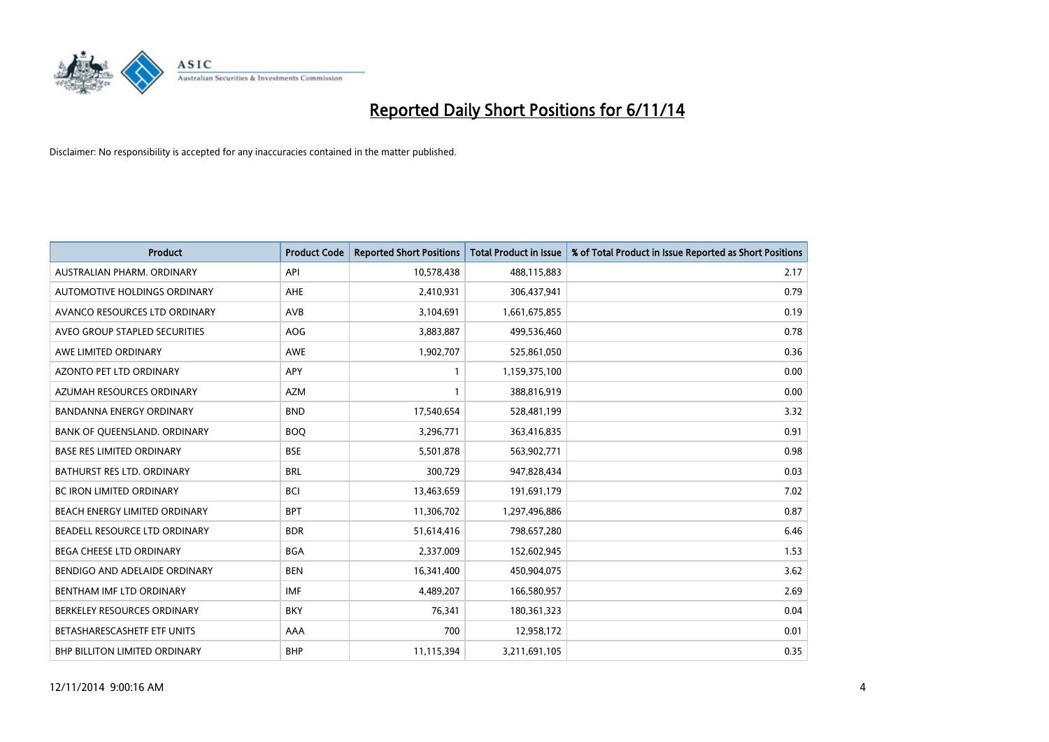

| <b>Product</b>                   | <b>Product Code</b> | <b>Reported Short Positions</b> | <b>Total Product in Issue</b> | % of Total Product in Issue Reported as Short Positions |
|----------------------------------|---------------------|---------------------------------|-------------------------------|---------------------------------------------------------|
| AUSTRALIAN PHARM, ORDINARY       | API                 | 10,578,438                      | 488,115,883                   | 2.17                                                    |
| AUTOMOTIVE HOLDINGS ORDINARY     | AHE                 | 2,410,931                       | 306,437,941                   | 0.79                                                    |
| AVANCO RESOURCES LTD ORDINARY    | AVB                 | 3,104,691                       | 1,661,675,855                 | 0.19                                                    |
| AVEO GROUP STAPLED SECURITIES    | <b>AOG</b>          | 3,883,887                       | 499,536,460                   | 0.78                                                    |
| AWE LIMITED ORDINARY             | <b>AWE</b>          | 1,902,707                       | 525,861,050                   | 0.36                                                    |
| <b>AZONTO PET LTD ORDINARY</b>   | APY                 | 1                               | 1,159,375,100                 | 0.00                                                    |
| AZUMAH RESOURCES ORDINARY        | <b>AZM</b>          | $\mathbf{1}$                    | 388,816,919                   | 0.00                                                    |
| <b>BANDANNA ENERGY ORDINARY</b>  | <b>BND</b>          | 17,540,654                      | 528,481,199                   | 3.32                                                    |
| BANK OF QUEENSLAND. ORDINARY     | <b>BOQ</b>          | 3,296,771                       | 363,416,835                   | 0.91                                                    |
| <b>BASE RES LIMITED ORDINARY</b> | <b>BSE</b>          | 5,501,878                       | 563,902,771                   | 0.98                                                    |
| BATHURST RES LTD. ORDINARY       | <b>BRL</b>          | 300,729                         | 947,828,434                   | 0.03                                                    |
| <b>BC IRON LIMITED ORDINARY</b>  | <b>BCI</b>          | 13,463,659                      | 191,691,179                   | 7.02                                                    |
| BEACH ENERGY LIMITED ORDINARY    | <b>BPT</b>          | 11,306,702                      | 1,297,496,886                 | 0.87                                                    |
| BEADELL RESOURCE LTD ORDINARY    | <b>BDR</b>          | 51,614,416                      | 798,657,280                   | 6.46                                                    |
| <b>BEGA CHEESE LTD ORDINARY</b>  | <b>BGA</b>          | 2,337,009                       | 152,602,945                   | 1.53                                                    |
| BENDIGO AND ADELAIDE ORDINARY    | <b>BEN</b>          | 16,341,400                      | 450,904,075                   | 3.62                                                    |
| BENTHAM IMF LTD ORDINARY         | <b>IMF</b>          | 4,489,207                       | 166,580,957                   | 2.69                                                    |
| BERKELEY RESOURCES ORDINARY      | <b>BKY</b>          | 76,341                          | 180,361,323                   | 0.04                                                    |
| BETASHARESCASHETF ETF UNITS      | AAA                 | 700                             | 12,958,172                    | 0.01                                                    |
| BHP BILLITON LIMITED ORDINARY    | <b>BHP</b>          | 11,115,394                      | 3,211,691,105                 | 0.35                                                    |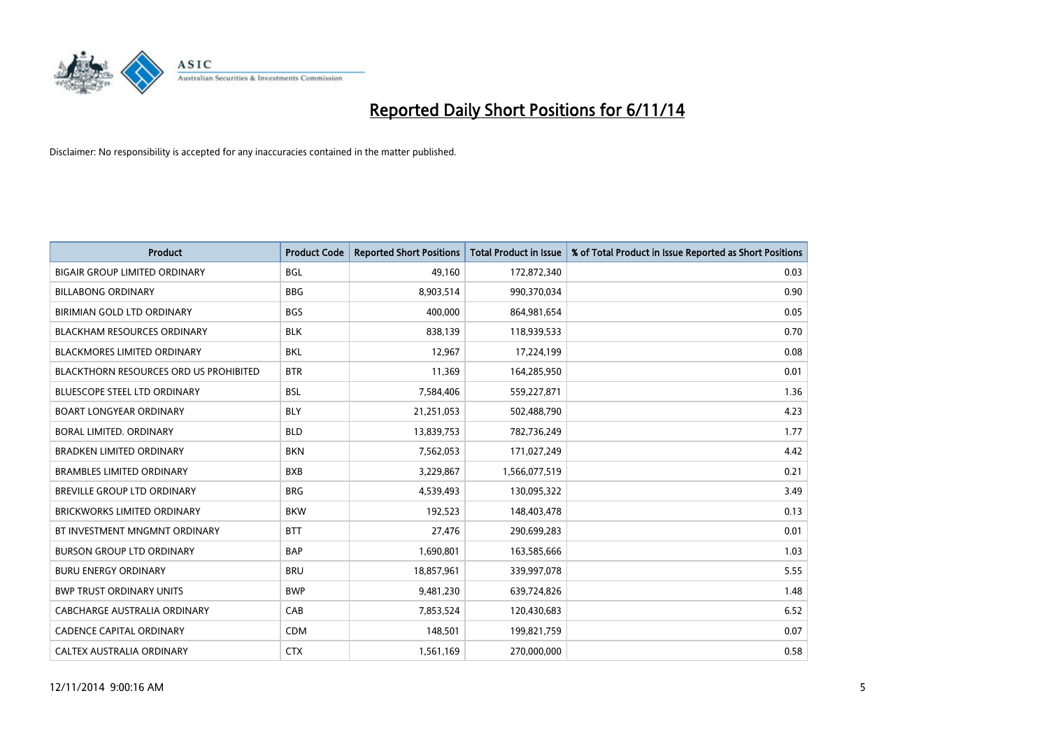

| <b>Product</b>                                | <b>Product Code</b> | <b>Reported Short Positions</b> | <b>Total Product in Issue</b> | % of Total Product in Issue Reported as Short Positions |
|-----------------------------------------------|---------------------|---------------------------------|-------------------------------|---------------------------------------------------------|
| <b>BIGAIR GROUP LIMITED ORDINARY</b>          | <b>BGL</b>          | 49,160                          | 172,872,340                   | 0.03                                                    |
| <b>BILLABONG ORDINARY</b>                     | <b>BBG</b>          | 8,903,514                       | 990,370,034                   | 0.90                                                    |
| BIRIMIAN GOLD LTD ORDINARY                    | <b>BGS</b>          | 400,000                         | 864,981,654                   | 0.05                                                    |
| <b>BLACKHAM RESOURCES ORDINARY</b>            | <b>BLK</b>          | 838,139                         | 118,939,533                   | 0.70                                                    |
| <b>BLACKMORES LIMITED ORDINARY</b>            | <b>BKL</b>          | 12,967                          | 17,224,199                    | 0.08                                                    |
| <b>BLACKTHORN RESOURCES ORD US PROHIBITED</b> | <b>BTR</b>          | 11,369                          | 164,285,950                   | 0.01                                                    |
| <b>BLUESCOPE STEEL LTD ORDINARY</b>           | <b>BSL</b>          | 7,584,406                       | 559,227,871                   | 1.36                                                    |
| <b>BOART LONGYEAR ORDINARY</b>                | <b>BLY</b>          | 21,251,053                      | 502,488,790                   | 4.23                                                    |
| <b>BORAL LIMITED, ORDINARY</b>                | <b>BLD</b>          | 13,839,753                      | 782,736,249                   | 1.77                                                    |
| <b>BRADKEN LIMITED ORDINARY</b>               | <b>BKN</b>          | 7,562,053                       | 171,027,249                   | 4.42                                                    |
| <b>BRAMBLES LIMITED ORDINARY</b>              | <b>BXB</b>          | 3,229,867                       | 1,566,077,519                 | 0.21                                                    |
| <b>BREVILLE GROUP LTD ORDINARY</b>            | <b>BRG</b>          | 4,539,493                       | 130,095,322                   | 3.49                                                    |
| <b>BRICKWORKS LIMITED ORDINARY</b>            | <b>BKW</b>          | 192,523                         | 148,403,478                   | 0.13                                                    |
| BT INVESTMENT MNGMNT ORDINARY                 | <b>BTT</b>          | 27,476                          | 290,699,283                   | 0.01                                                    |
| <b>BURSON GROUP LTD ORDINARY</b>              | <b>BAP</b>          | 1,690,801                       | 163,585,666                   | 1.03                                                    |
| <b>BURU ENERGY ORDINARY</b>                   | <b>BRU</b>          | 18,857,961                      | 339,997,078                   | 5.55                                                    |
| <b>BWP TRUST ORDINARY UNITS</b>               | <b>BWP</b>          | 9,481,230                       | 639,724,826                   | 1.48                                                    |
| <b>CABCHARGE AUSTRALIA ORDINARY</b>           | CAB                 | 7,853,524                       | 120,430,683                   | 6.52                                                    |
| <b>CADENCE CAPITAL ORDINARY</b>               | <b>CDM</b>          | 148,501                         | 199,821,759                   | 0.07                                                    |
| CALTEX AUSTRALIA ORDINARY                     | <b>CTX</b>          | 1,561,169                       | 270,000,000                   | 0.58                                                    |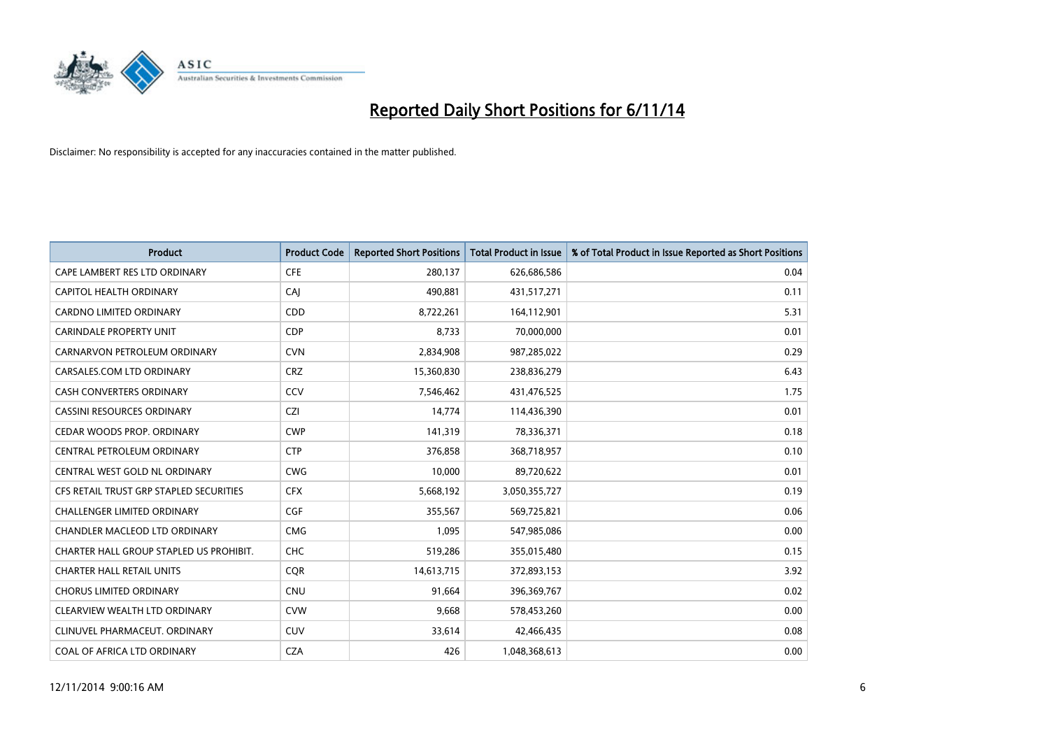

| <b>Product</b>                          | <b>Product Code</b> | <b>Reported Short Positions</b> | <b>Total Product in Issue</b> | % of Total Product in Issue Reported as Short Positions |
|-----------------------------------------|---------------------|---------------------------------|-------------------------------|---------------------------------------------------------|
| CAPE LAMBERT RES LTD ORDINARY           | <b>CFE</b>          | 280,137                         | 626,686,586                   | 0.04                                                    |
| CAPITOL HEALTH ORDINARY                 | CAI                 | 490,881                         | 431,517,271                   | 0.11                                                    |
| <b>CARDNO LIMITED ORDINARY</b>          | CDD                 | 8,722,261                       | 164,112,901                   | 5.31                                                    |
| CARINDALE PROPERTY UNIT                 | <b>CDP</b>          | 8,733                           | 70,000,000                    | 0.01                                                    |
| CARNARVON PETROLEUM ORDINARY            | <b>CVN</b>          | 2,834,908                       | 987,285,022                   | 0.29                                                    |
| CARSALES.COM LTD ORDINARY               | <b>CRZ</b>          | 15,360,830                      | 238,836,279                   | 6.43                                                    |
| CASH CONVERTERS ORDINARY                | CCV                 | 7,546,462                       | 431,476,525                   | 1.75                                                    |
| CASSINI RESOURCES ORDINARY              | <b>CZI</b>          | 14,774                          | 114,436,390                   | 0.01                                                    |
| CEDAR WOODS PROP. ORDINARY              | <b>CWP</b>          | 141,319                         | 78,336,371                    | 0.18                                                    |
| CENTRAL PETROLEUM ORDINARY              | <b>CTP</b>          | 376,858                         | 368,718,957                   | 0.10                                                    |
| CENTRAL WEST GOLD NL ORDINARY           | <b>CWG</b>          | 10,000                          | 89,720,622                    | 0.01                                                    |
| CFS RETAIL TRUST GRP STAPLED SECURITIES | <b>CFX</b>          | 5,668,192                       | 3,050,355,727                 | 0.19                                                    |
| <b>CHALLENGER LIMITED ORDINARY</b>      | <b>CGF</b>          | 355,567                         | 569,725,821                   | 0.06                                                    |
| CHANDLER MACLEOD LTD ORDINARY           | <b>CMG</b>          | 1,095                           | 547,985,086                   | 0.00                                                    |
| CHARTER HALL GROUP STAPLED US PROHIBIT. | CHC                 | 519,286                         | 355,015,480                   | 0.15                                                    |
| <b>CHARTER HALL RETAIL UNITS</b>        | <b>COR</b>          | 14,613,715                      | 372,893,153                   | 3.92                                                    |
| <b>CHORUS LIMITED ORDINARY</b>          | <b>CNU</b>          | 91,664                          | 396,369,767                   | 0.02                                                    |
| CLEARVIEW WEALTH LTD ORDINARY           | <b>CVW</b>          | 9,668                           | 578,453,260                   | 0.00                                                    |
| CLINUVEL PHARMACEUT, ORDINARY           | <b>CUV</b>          | 33,614                          | 42,466,435                    | 0.08                                                    |
| COAL OF AFRICA LTD ORDINARY             | <b>CZA</b>          | 426                             | 1,048,368,613                 | 0.00                                                    |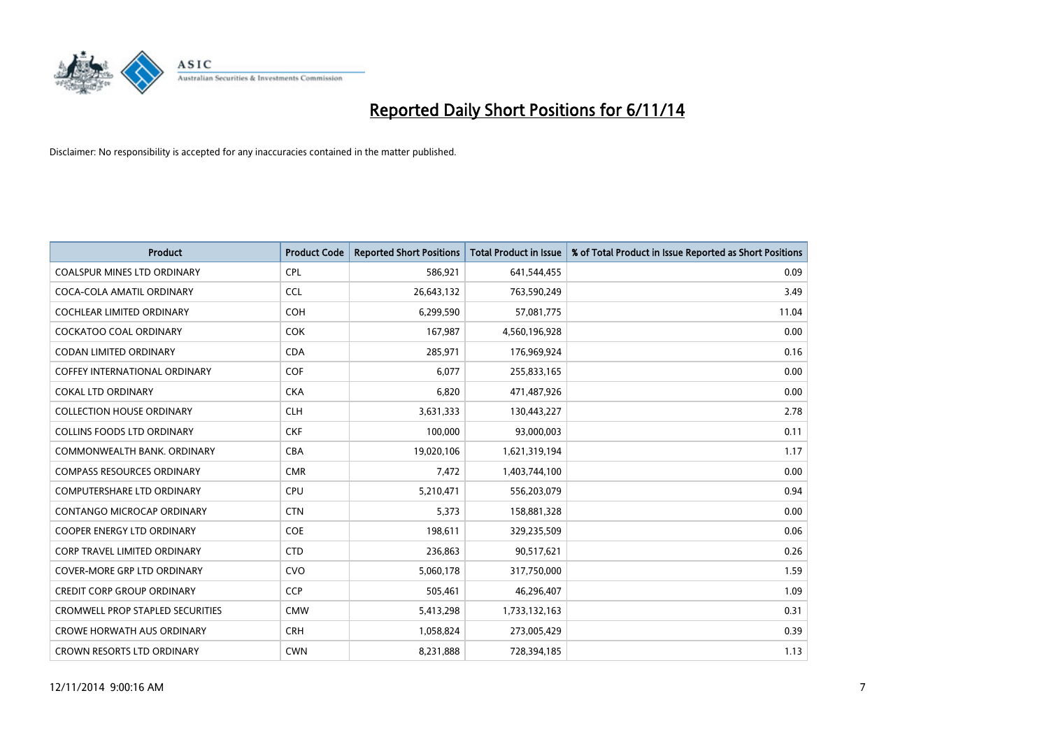

| <b>Product</b>                          | <b>Product Code</b> | <b>Reported Short Positions</b> | <b>Total Product in Issue</b> | % of Total Product in Issue Reported as Short Positions |
|-----------------------------------------|---------------------|---------------------------------|-------------------------------|---------------------------------------------------------|
| <b>COALSPUR MINES LTD ORDINARY</b>      | <b>CPL</b>          | 586,921                         | 641,544,455                   | 0.09                                                    |
| COCA-COLA AMATIL ORDINARY               | <b>CCL</b>          | 26,643,132                      | 763,590,249                   | 3.49                                                    |
| <b>COCHLEAR LIMITED ORDINARY</b>        | <b>COH</b>          | 6,299,590                       | 57,081,775                    | 11.04                                                   |
| COCKATOO COAL ORDINARY                  | <b>COK</b>          | 167,987                         | 4,560,196,928                 | 0.00                                                    |
| <b>CODAN LIMITED ORDINARY</b>           | <b>CDA</b>          | 285,971                         | 176,969,924                   | 0.16                                                    |
| <b>COFFEY INTERNATIONAL ORDINARY</b>    | COF                 | 6,077                           | 255,833,165                   | 0.00                                                    |
| <b>COKAL LTD ORDINARY</b>               | <b>CKA</b>          | 6,820                           | 471,487,926                   | 0.00                                                    |
| <b>COLLECTION HOUSE ORDINARY</b>        | <b>CLH</b>          | 3,631,333                       | 130,443,227                   | 2.78                                                    |
| <b>COLLINS FOODS LTD ORDINARY</b>       | <b>CKF</b>          | 100,000                         | 93,000,003                    | 0.11                                                    |
| COMMONWEALTH BANK, ORDINARY             | <b>CBA</b>          | 19,020,106                      | 1,621,319,194                 | 1.17                                                    |
| <b>COMPASS RESOURCES ORDINARY</b>       | <b>CMR</b>          | 7,472                           | 1,403,744,100                 | 0.00                                                    |
| <b>COMPUTERSHARE LTD ORDINARY</b>       | <b>CPU</b>          | 5,210,471                       | 556,203,079                   | 0.94                                                    |
| CONTANGO MICROCAP ORDINARY              | <b>CTN</b>          | 5,373                           | 158,881,328                   | 0.00                                                    |
| <b>COOPER ENERGY LTD ORDINARY</b>       | <b>COE</b>          | 198,611                         | 329,235,509                   | 0.06                                                    |
| <b>CORP TRAVEL LIMITED ORDINARY</b>     | <b>CTD</b>          | 236,863                         | 90,517,621                    | 0.26                                                    |
| COVER-MORE GRP LTD ORDINARY             | <b>CVO</b>          | 5,060,178                       | 317,750,000                   | 1.59                                                    |
| <b>CREDIT CORP GROUP ORDINARY</b>       | <b>CCP</b>          | 505,461                         | 46,296,407                    | 1.09                                                    |
| <b>CROMWELL PROP STAPLED SECURITIES</b> | <b>CMW</b>          | 5,413,298                       | 1,733,132,163                 | 0.31                                                    |
| <b>CROWE HORWATH AUS ORDINARY</b>       | <b>CRH</b>          | 1,058,824                       | 273,005,429                   | 0.39                                                    |
| CROWN RESORTS LTD ORDINARY              | <b>CWN</b>          | 8,231,888                       | 728,394,185                   | 1.13                                                    |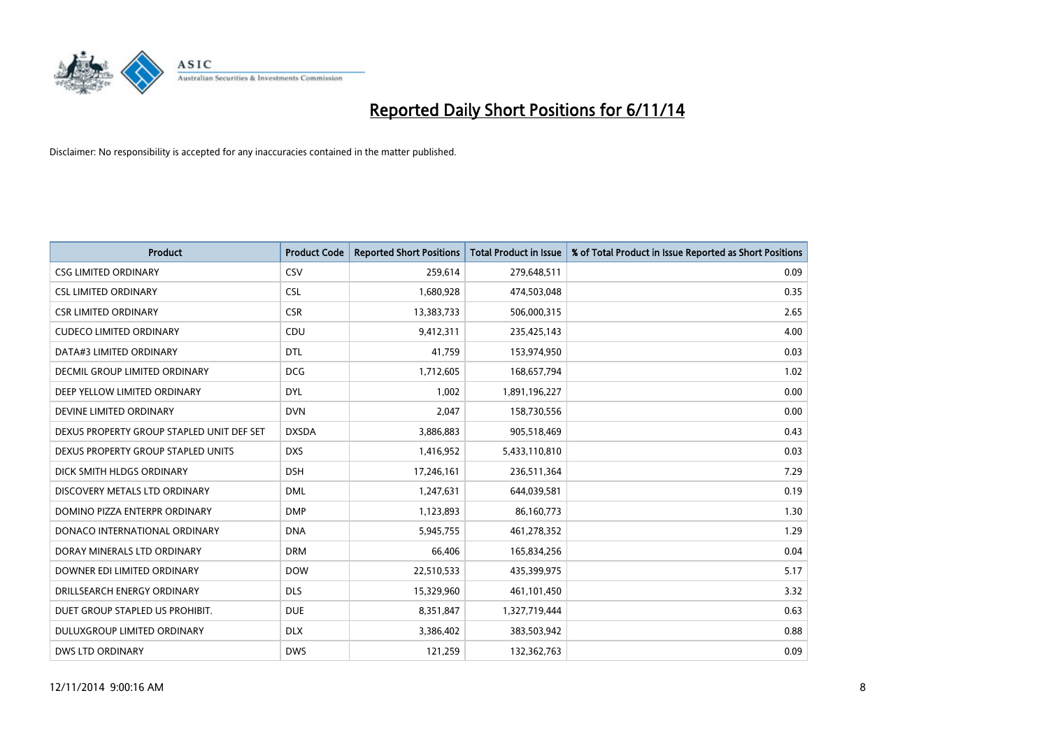

| <b>Product</b>                            | <b>Product Code</b> | <b>Reported Short Positions</b> | <b>Total Product in Issue</b> | % of Total Product in Issue Reported as Short Positions |
|-------------------------------------------|---------------------|---------------------------------|-------------------------------|---------------------------------------------------------|
| <b>CSG LIMITED ORDINARY</b>               | CSV                 | 259,614                         | 279,648,511                   | 0.09                                                    |
| <b>CSL LIMITED ORDINARY</b>               | <b>CSL</b>          | 1,680,928                       | 474,503,048                   | 0.35                                                    |
| <b>CSR LIMITED ORDINARY</b>               | <b>CSR</b>          | 13,383,733                      | 506,000,315                   | 2.65                                                    |
| <b>CUDECO LIMITED ORDINARY</b>            | CDU                 | 9,412,311                       | 235,425,143                   | 4.00                                                    |
| DATA#3 LIMITED ORDINARY                   | <b>DTL</b>          | 41,759                          | 153,974,950                   | 0.03                                                    |
| <b>DECMIL GROUP LIMITED ORDINARY</b>      | <b>DCG</b>          | 1,712,605                       | 168,657,794                   | 1.02                                                    |
| DEEP YELLOW LIMITED ORDINARY              | <b>DYL</b>          | 1,002                           | 1,891,196,227                 | 0.00                                                    |
| DEVINE LIMITED ORDINARY                   | <b>DVN</b>          | 2,047                           | 158,730,556                   | 0.00                                                    |
| DEXUS PROPERTY GROUP STAPLED UNIT DEF SET | <b>DXSDA</b>        | 3,886,883                       | 905,518,469                   | 0.43                                                    |
| DEXUS PROPERTY GROUP STAPLED UNITS        | <b>DXS</b>          | 1,416,952                       | 5,433,110,810                 | 0.03                                                    |
| DICK SMITH HLDGS ORDINARY                 | <b>DSH</b>          | 17,246,161                      | 236,511,364                   | 7.29                                                    |
| DISCOVERY METALS LTD ORDINARY             | <b>DML</b>          | 1,247,631                       | 644,039,581                   | 0.19                                                    |
| DOMINO PIZZA ENTERPR ORDINARY             | <b>DMP</b>          | 1,123,893                       | 86,160,773                    | 1.30                                                    |
| DONACO INTERNATIONAL ORDINARY             | <b>DNA</b>          | 5,945,755                       | 461,278,352                   | 1.29                                                    |
| DORAY MINERALS LTD ORDINARY               | <b>DRM</b>          | 66,406                          | 165,834,256                   | 0.04                                                    |
| DOWNER EDI LIMITED ORDINARY               | <b>DOW</b>          | 22,510,533                      | 435,399,975                   | 5.17                                                    |
| DRILLSEARCH ENERGY ORDINARY               | <b>DLS</b>          | 15,329,960                      | 461,101,450                   | 3.32                                                    |
| DUET GROUP STAPLED US PROHIBIT.           | <b>DUE</b>          | 8,351,847                       | 1,327,719,444                 | 0.63                                                    |
| DULUXGROUP LIMITED ORDINARY               | <b>DLX</b>          | 3,386,402                       | 383,503,942                   | 0.88                                                    |
| <b>DWS LTD ORDINARY</b>                   | <b>DWS</b>          | 121,259                         | 132,362,763                   | 0.09                                                    |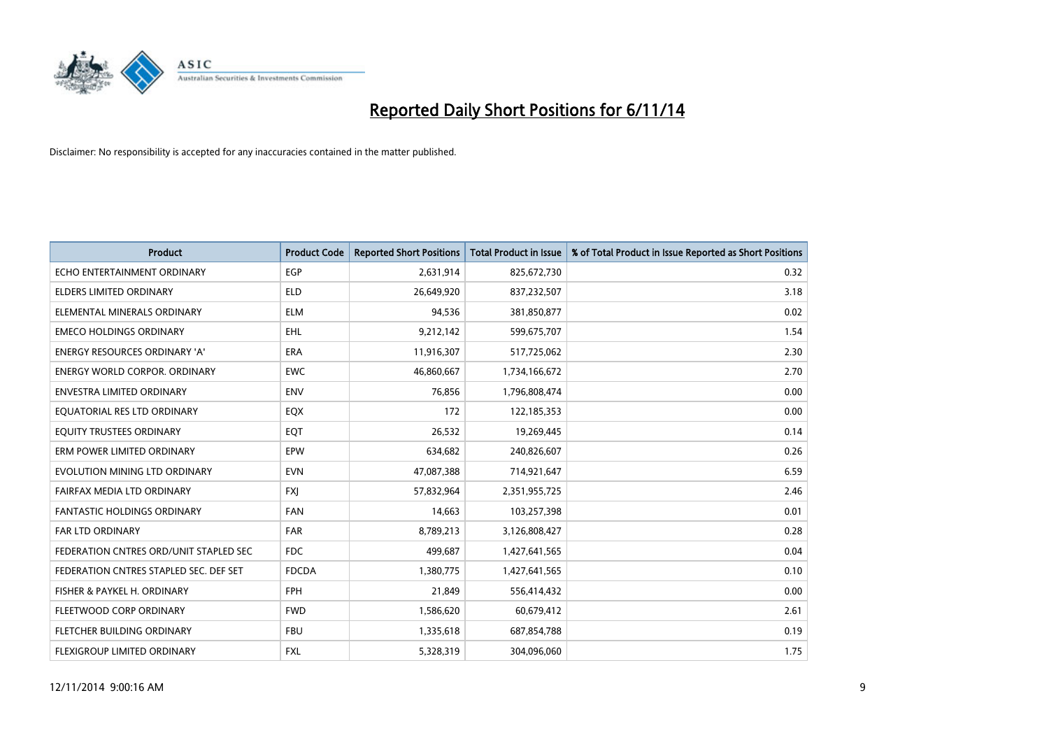

| <b>Product</b>                         | <b>Product Code</b> | <b>Reported Short Positions</b> | <b>Total Product in Issue</b> | % of Total Product in Issue Reported as Short Positions |
|----------------------------------------|---------------------|---------------------------------|-------------------------------|---------------------------------------------------------|
| ECHO ENTERTAINMENT ORDINARY            | <b>EGP</b>          | 2,631,914                       | 825,672,730                   | 0.32                                                    |
| ELDERS LIMITED ORDINARY                | <b>ELD</b>          | 26,649,920                      | 837,232,507                   | 3.18                                                    |
| ELEMENTAL MINERALS ORDINARY            | <b>ELM</b>          | 94,536                          | 381,850,877                   | 0.02                                                    |
| <b>EMECO HOLDINGS ORDINARY</b>         | <b>EHL</b>          | 9,212,142                       | 599,675,707                   | 1.54                                                    |
| <b>ENERGY RESOURCES ORDINARY 'A'</b>   | ERA                 | 11,916,307                      | 517,725,062                   | 2.30                                                    |
| <b>ENERGY WORLD CORPOR, ORDINARY</b>   | <b>EWC</b>          | 46,860,667                      | 1,734,166,672                 | 2.70                                                    |
| <b>ENVESTRA LIMITED ORDINARY</b>       | <b>ENV</b>          | 76,856                          | 1,796,808,474                 | 0.00                                                    |
| EQUATORIAL RES LTD ORDINARY            | EQX                 | 172                             | 122,185,353                   | 0.00                                                    |
| EQUITY TRUSTEES ORDINARY               | EQT                 | 26,532                          | 19,269,445                    | 0.14                                                    |
| ERM POWER LIMITED ORDINARY             | EPW                 | 634,682                         | 240,826,607                   | 0.26                                                    |
| EVOLUTION MINING LTD ORDINARY          | <b>EVN</b>          | 47,087,388                      | 714,921,647                   | 6.59                                                    |
| FAIRFAX MEDIA LTD ORDINARY             | FXJ                 | 57,832,964                      | 2,351,955,725                 | 2.46                                                    |
| FANTASTIC HOLDINGS ORDINARY            | <b>FAN</b>          | 14,663                          | 103,257,398                   | 0.01                                                    |
| <b>FAR LTD ORDINARY</b>                | FAR                 | 8,789,213                       | 3,126,808,427                 | 0.28                                                    |
| FEDERATION CNTRES ORD/UNIT STAPLED SEC | <b>FDC</b>          | 499,687                         | 1,427,641,565                 | 0.04                                                    |
| FEDERATION CNTRES STAPLED SEC. DEF SET | <b>FDCDA</b>        | 1,380,775                       | 1,427,641,565                 | 0.10                                                    |
| FISHER & PAYKEL H. ORDINARY            | FPH                 | 21,849                          | 556,414,432                   | 0.00                                                    |
| FLEETWOOD CORP ORDINARY                | <b>FWD</b>          | 1,586,620                       | 60,679,412                    | 2.61                                                    |
| FLETCHER BUILDING ORDINARY             | <b>FBU</b>          | 1,335,618                       | 687,854,788                   | 0.19                                                    |
| FLEXIGROUP LIMITED ORDINARY            | FXL                 | 5,328,319                       | 304,096,060                   | 1.75                                                    |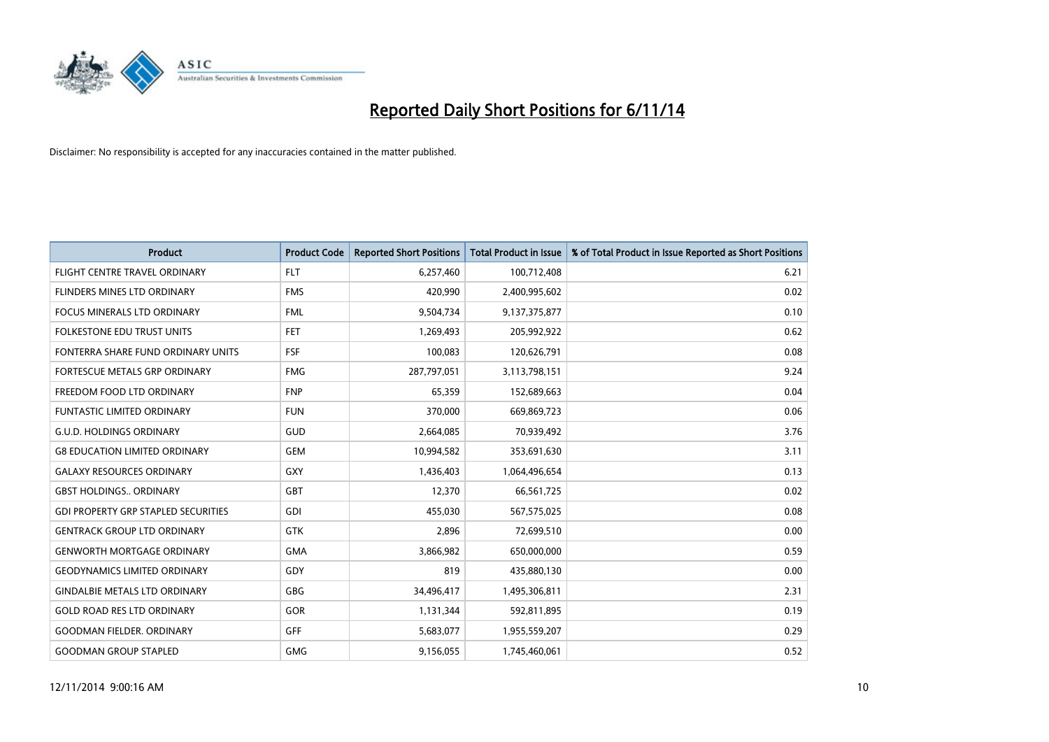

| <b>Product</b>                             | <b>Product Code</b> | <b>Reported Short Positions</b> | <b>Total Product in Issue</b> | % of Total Product in Issue Reported as Short Positions |
|--------------------------------------------|---------------------|---------------------------------|-------------------------------|---------------------------------------------------------|
| FLIGHT CENTRE TRAVEL ORDINARY              | <b>FLT</b>          | 6,257,460                       | 100,712,408                   | 6.21                                                    |
| FLINDERS MINES LTD ORDINARY                | <b>FMS</b>          | 420,990                         | 2,400,995,602                 | 0.02                                                    |
| <b>FOCUS MINERALS LTD ORDINARY</b>         | <b>FML</b>          | 9,504,734                       | 9,137,375,877                 | 0.10                                                    |
| <b>FOLKESTONE EDU TRUST UNITS</b>          | <b>FET</b>          | 1,269,493                       | 205,992,922                   | 0.62                                                    |
| FONTERRA SHARE FUND ORDINARY UNITS         | <b>FSF</b>          | 100,083                         | 120,626,791                   | 0.08                                                    |
| FORTESCUE METALS GRP ORDINARY              | <b>FMG</b>          | 287,797,051                     | 3,113,798,151                 | 9.24                                                    |
| FREEDOM FOOD LTD ORDINARY                  | <b>FNP</b>          | 65,359                          | 152,689,663                   | 0.04                                                    |
| <b>FUNTASTIC LIMITED ORDINARY</b>          | <b>FUN</b>          | 370,000                         | 669,869,723                   | 0.06                                                    |
| <b>G.U.D. HOLDINGS ORDINARY</b>            | GUD                 | 2,664,085                       | 70,939,492                    | 3.76                                                    |
| <b>G8 EDUCATION LIMITED ORDINARY</b>       | <b>GEM</b>          | 10,994,582                      | 353,691,630                   | 3.11                                                    |
| <b>GALAXY RESOURCES ORDINARY</b>           | GXY                 | 1,436,403                       | 1,064,496,654                 | 0.13                                                    |
| <b>GBST HOLDINGS., ORDINARY</b>            | GBT                 | 12,370                          | 66,561,725                    | 0.02                                                    |
| <b>GDI PROPERTY GRP STAPLED SECURITIES</b> | GDI                 | 455,030                         | 567,575,025                   | 0.08                                                    |
| <b>GENTRACK GROUP LTD ORDINARY</b>         | <b>GTK</b>          | 2,896                           | 72,699,510                    | 0.00                                                    |
| <b>GENWORTH MORTGAGE ORDINARY</b>          | <b>GMA</b>          | 3,866,982                       | 650,000,000                   | 0.59                                                    |
| <b>GEODYNAMICS LIMITED ORDINARY</b>        | GDY                 | 819                             | 435,880,130                   | 0.00                                                    |
| <b>GINDALBIE METALS LTD ORDINARY</b>       | GBG                 | 34,496,417                      | 1,495,306,811                 | 2.31                                                    |
| <b>GOLD ROAD RES LTD ORDINARY</b>          | GOR                 | 1,131,344                       | 592,811,895                   | 0.19                                                    |
| <b>GOODMAN FIELDER, ORDINARY</b>           | GFF                 | 5,683,077                       | 1,955,559,207                 | 0.29                                                    |
| <b>GOODMAN GROUP STAPLED</b>               | <b>GMG</b>          | 9,156,055                       | 1,745,460,061                 | 0.52                                                    |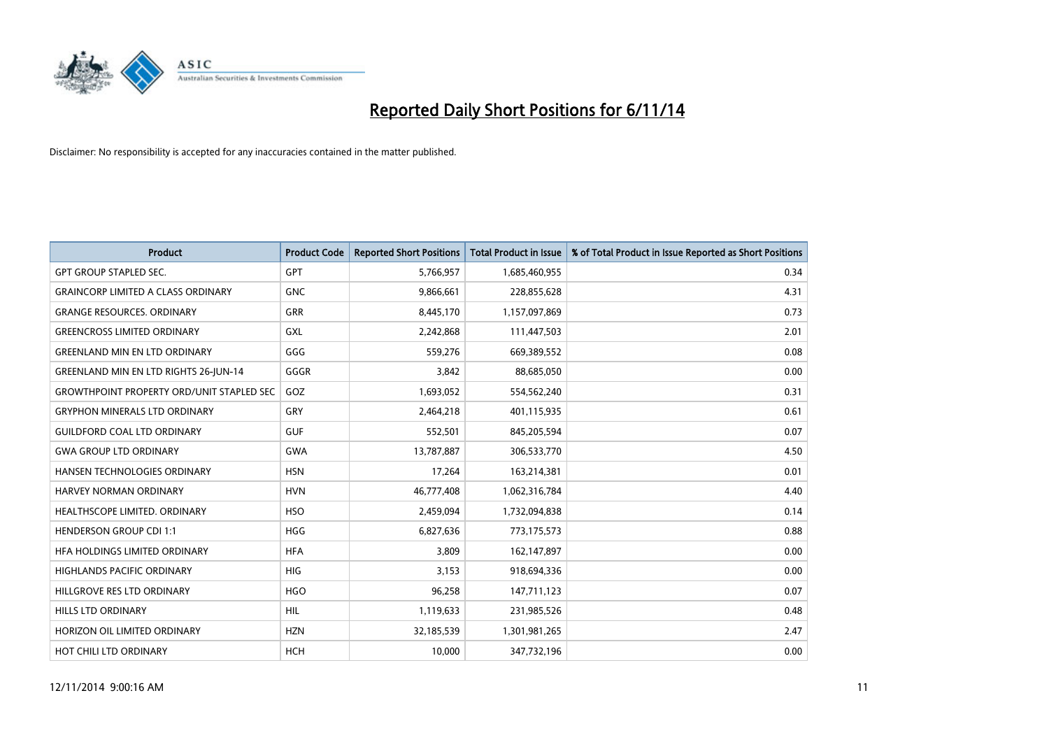

| <b>Product</b>                                   | <b>Product Code</b> | <b>Reported Short Positions</b> | <b>Total Product in Issue</b> | % of Total Product in Issue Reported as Short Positions |
|--------------------------------------------------|---------------------|---------------------------------|-------------------------------|---------------------------------------------------------|
| <b>GPT GROUP STAPLED SEC.</b>                    | GPT                 | 5,766,957                       | 1,685,460,955                 | 0.34                                                    |
| <b>GRAINCORP LIMITED A CLASS ORDINARY</b>        | <b>GNC</b>          | 9,866,661                       | 228,855,628                   | 4.31                                                    |
| <b>GRANGE RESOURCES, ORDINARY</b>                | <b>GRR</b>          | 8,445,170                       | 1,157,097,869                 | 0.73                                                    |
| <b>GREENCROSS LIMITED ORDINARY</b>               | GXL                 | 2,242,868                       | 111,447,503                   | 2.01                                                    |
| <b>GREENLAND MIN EN LTD ORDINARY</b>             | GGG                 | 559,276                         | 669,389,552                   | 0.08                                                    |
| <b>GREENLAND MIN EN LTD RIGHTS 26-JUN-14</b>     | GGGR                | 3,842                           | 88,685,050                    | 0.00                                                    |
| <b>GROWTHPOINT PROPERTY ORD/UNIT STAPLED SEC</b> | GOZ                 | 1,693,052                       | 554,562,240                   | 0.31                                                    |
| <b>GRYPHON MINERALS LTD ORDINARY</b>             | GRY                 | 2,464,218                       | 401,115,935                   | 0.61                                                    |
| <b>GUILDFORD COAL LTD ORDINARY</b>               | <b>GUF</b>          | 552,501                         | 845,205,594                   | 0.07                                                    |
| <b>GWA GROUP LTD ORDINARY</b>                    | <b>GWA</b>          | 13,787,887                      | 306,533,770                   | 4.50                                                    |
| HANSEN TECHNOLOGIES ORDINARY                     | <b>HSN</b>          | 17,264                          | 163,214,381                   | 0.01                                                    |
| HARVEY NORMAN ORDINARY                           | <b>HVN</b>          | 46,777,408                      | 1,062,316,784                 | 4.40                                                    |
| HEALTHSCOPE LIMITED. ORDINARY                    | <b>HSO</b>          | 2,459,094                       | 1,732,094,838                 | 0.14                                                    |
| <b>HENDERSON GROUP CDI 1:1</b>                   | <b>HGG</b>          | 6,827,636                       | 773,175,573                   | 0.88                                                    |
| HFA HOLDINGS LIMITED ORDINARY                    | <b>HFA</b>          | 3,809                           | 162,147,897                   | 0.00                                                    |
| <b>HIGHLANDS PACIFIC ORDINARY</b>                | HIG                 | 3,153                           | 918,694,336                   | 0.00                                                    |
| HILLGROVE RES LTD ORDINARY                       | <b>HGO</b>          | 96,258                          | 147,711,123                   | 0.07                                                    |
| <b>HILLS LTD ORDINARY</b>                        | <b>HIL</b>          | 1,119,633                       | 231,985,526                   | 0.48                                                    |
| HORIZON OIL LIMITED ORDINARY                     | <b>HZN</b>          | 32,185,539                      | 1,301,981,265                 | 2.47                                                    |
| HOT CHILI LTD ORDINARY                           | <b>HCH</b>          | 10,000                          | 347,732,196                   | 0.00                                                    |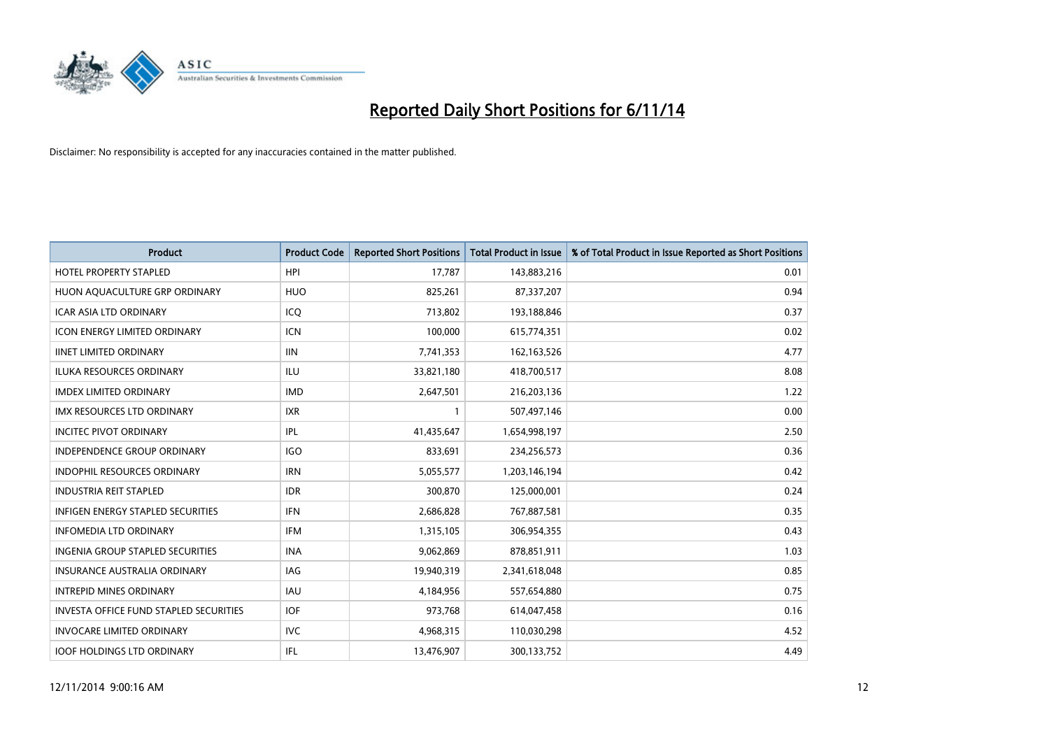

| <b>Product</b>                                | <b>Product Code</b> | <b>Reported Short Positions</b> | <b>Total Product in Issue</b> | % of Total Product in Issue Reported as Short Positions |
|-----------------------------------------------|---------------------|---------------------------------|-------------------------------|---------------------------------------------------------|
| <b>HOTEL PROPERTY STAPLED</b>                 | <b>HPI</b>          | 17,787                          | 143,883,216                   | 0.01                                                    |
| HUON AQUACULTURE GRP ORDINARY                 | <b>HUO</b>          | 825,261                         | 87,337,207                    | 0.94                                                    |
| <b>ICAR ASIA LTD ORDINARY</b>                 | ICQ                 | 713,802                         | 193,188,846                   | 0.37                                                    |
| ICON ENERGY LIMITED ORDINARY                  | <b>ICN</b>          | 100,000                         | 615,774,351                   | 0.02                                                    |
| <b>IINET LIMITED ORDINARY</b>                 | <b>IIN</b>          | 7,741,353                       | 162, 163, 526                 | 4.77                                                    |
| <b>ILUKA RESOURCES ORDINARY</b>               | <b>ILU</b>          | 33,821,180                      | 418,700,517                   | 8.08                                                    |
| <b>IMDEX LIMITED ORDINARY</b>                 | <b>IMD</b>          | 2,647,501                       | 216,203,136                   | 1.22                                                    |
| IMX RESOURCES LTD ORDINARY                    | <b>IXR</b>          | 1                               | 507,497,146                   | 0.00                                                    |
| <b>INCITEC PIVOT ORDINARY</b>                 | IPL                 | 41,435,647                      | 1,654,998,197                 | 2.50                                                    |
| <b>INDEPENDENCE GROUP ORDINARY</b>            | <b>IGO</b>          | 833,691                         | 234,256,573                   | 0.36                                                    |
| INDOPHIL RESOURCES ORDINARY                   | <b>IRN</b>          | 5,055,577                       | 1,203,146,194                 | 0.42                                                    |
| <b>INDUSTRIA REIT STAPLED</b>                 | <b>IDR</b>          | 300,870                         | 125,000,001                   | 0.24                                                    |
| <b>INFIGEN ENERGY STAPLED SECURITIES</b>      | <b>IFN</b>          | 2,686,828                       | 767,887,581                   | 0.35                                                    |
| <b>INFOMEDIA LTD ORDINARY</b>                 | <b>IFM</b>          | 1,315,105                       | 306,954,355                   | 0.43                                                    |
| INGENIA GROUP STAPLED SECURITIES              | <b>INA</b>          | 9,062,869                       | 878,851,911                   | 1.03                                                    |
| INSURANCE AUSTRALIA ORDINARY                  | IAG                 | 19,940,319                      | 2,341,618,048                 | 0.85                                                    |
| <b>INTREPID MINES ORDINARY</b>                | <b>IAU</b>          | 4,184,956                       | 557,654,880                   | 0.75                                                    |
| <b>INVESTA OFFICE FUND STAPLED SECURITIES</b> | <b>IOF</b>          | 973,768                         | 614,047,458                   | 0.16                                                    |
| <b>INVOCARE LIMITED ORDINARY</b>              | IVC                 | 4,968,315                       | 110,030,298                   | 4.52                                                    |
| <b>IOOF HOLDINGS LTD ORDINARY</b>             | <b>IFL</b>          | 13,476,907                      | 300,133,752                   | 4.49                                                    |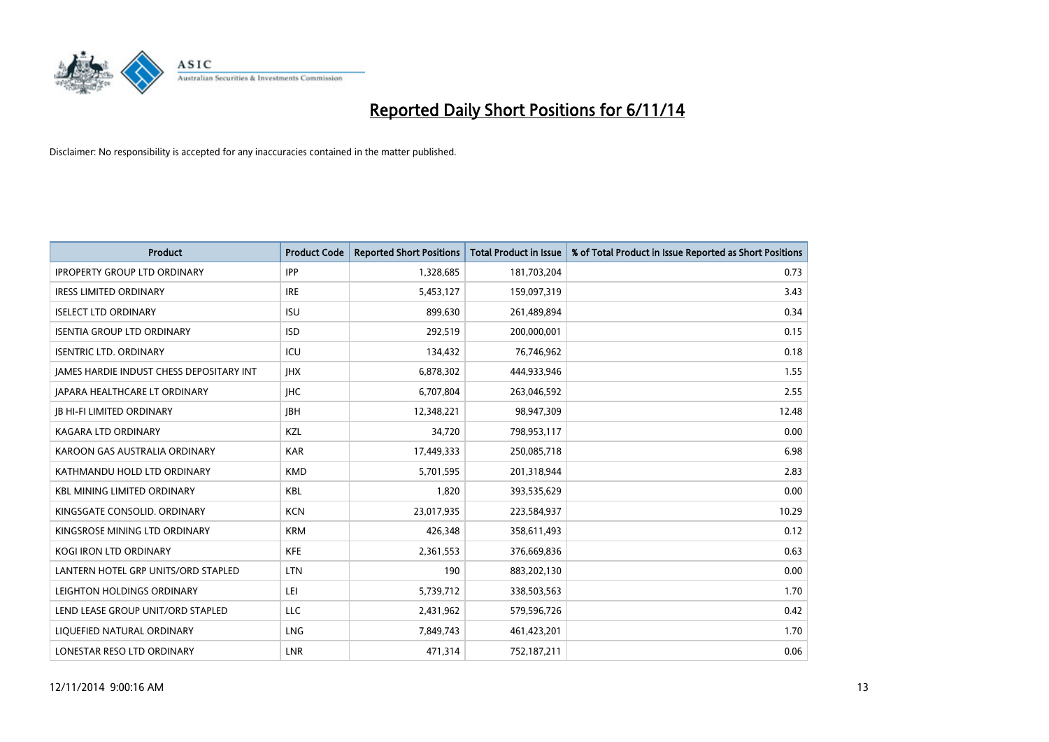

| <b>Product</b>                           | <b>Product Code</b> | <b>Reported Short Positions</b> | <b>Total Product in Issue</b> | % of Total Product in Issue Reported as Short Positions |
|------------------------------------------|---------------------|---------------------------------|-------------------------------|---------------------------------------------------------|
| <b>IPROPERTY GROUP LTD ORDINARY</b>      | <b>IPP</b>          | 1,328,685                       | 181,703,204                   | 0.73                                                    |
| <b>IRESS LIMITED ORDINARY</b>            | <b>IRE</b>          | 5,453,127                       | 159,097,319                   | 3.43                                                    |
| <b>ISELECT LTD ORDINARY</b>              | <b>ISU</b>          | 899,630                         | 261,489,894                   | 0.34                                                    |
| <b>ISENTIA GROUP LTD ORDINARY</b>        | <b>ISD</b>          | 292,519                         | 200,000,001                   | 0.15                                                    |
| <b>ISENTRIC LTD. ORDINARY</b>            | ICU                 | 134,432                         | 76,746,962                    | 0.18                                                    |
| JAMES HARDIE INDUST CHESS DEPOSITARY INT | <b>IHX</b>          | 6,878,302                       | 444,933,946                   | 1.55                                                    |
| JAPARA HEALTHCARE LT ORDINARY            | <b>IHC</b>          | 6,707,804                       | 263,046,592                   | 2.55                                                    |
| <b>JB HI-FI LIMITED ORDINARY</b>         | <b>JBH</b>          | 12,348,221                      | 98,947,309                    | 12.48                                                   |
| <b>KAGARA LTD ORDINARY</b>               | KZL                 | 34,720                          | 798,953,117                   | 0.00                                                    |
| KAROON GAS AUSTRALIA ORDINARY            | <b>KAR</b>          | 17,449,333                      | 250,085,718                   | 6.98                                                    |
| KATHMANDU HOLD LTD ORDINARY              | <b>KMD</b>          | 5,701,595                       | 201,318,944                   | 2.83                                                    |
| <b>KBL MINING LIMITED ORDINARY</b>       | <b>KBL</b>          | 1,820                           | 393,535,629                   | 0.00                                                    |
| KINGSGATE CONSOLID. ORDINARY             | <b>KCN</b>          | 23,017,935                      | 223,584,937                   | 10.29                                                   |
| KINGSROSE MINING LTD ORDINARY            | <b>KRM</b>          | 426,348                         | 358,611,493                   | 0.12                                                    |
| <b>KOGI IRON LTD ORDINARY</b>            | <b>KFE</b>          | 2,361,553                       | 376,669,836                   | 0.63                                                    |
| LANTERN HOTEL GRP UNITS/ORD STAPLED      | <b>LTN</b>          | 190                             | 883,202,130                   | 0.00                                                    |
| LEIGHTON HOLDINGS ORDINARY               | LEI                 | 5,739,712                       | 338,503,563                   | 1.70                                                    |
| LEND LEASE GROUP UNIT/ORD STAPLED        | <b>LLC</b>          | 2,431,962                       | 579,596,726                   | 0.42                                                    |
| LIQUEFIED NATURAL ORDINARY               | LNG                 | 7,849,743                       | 461,423,201                   | 1.70                                                    |
| LONESTAR RESO LTD ORDINARY               | LNR                 | 471,314                         | 752,187,211                   | 0.06                                                    |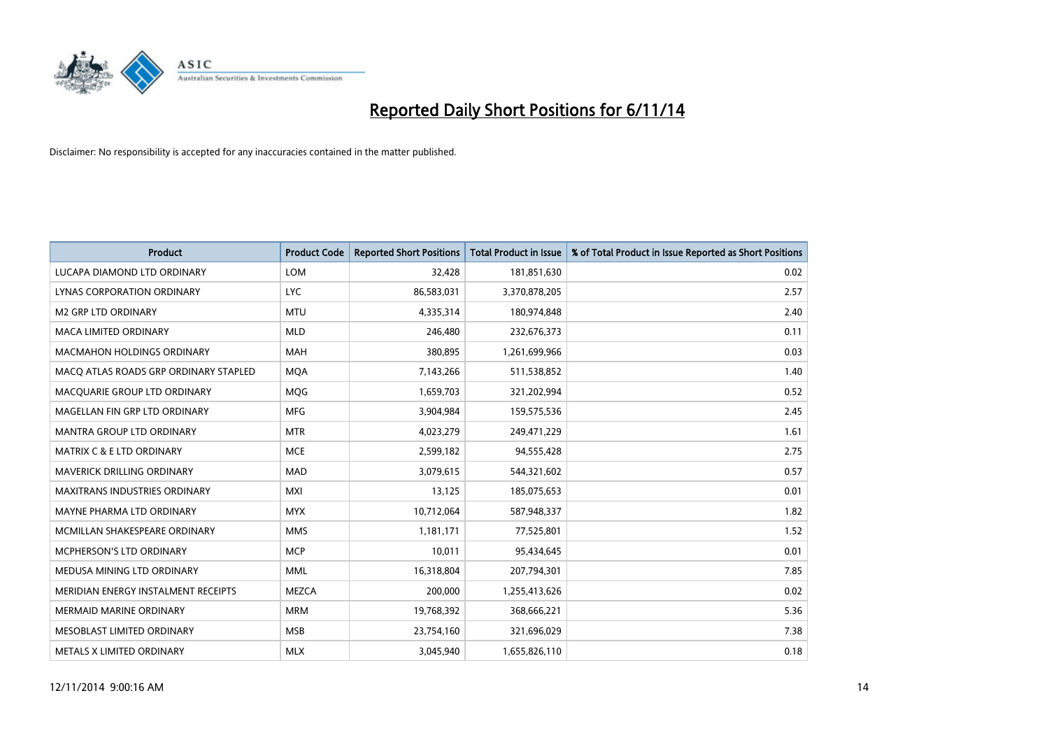

| <b>Product</b>                        | <b>Product Code</b> | <b>Reported Short Positions</b> | <b>Total Product in Issue</b> | % of Total Product in Issue Reported as Short Positions |
|---------------------------------------|---------------------|---------------------------------|-------------------------------|---------------------------------------------------------|
| LUCAPA DIAMOND LTD ORDINARY           | <b>LOM</b>          | 32,428                          | 181,851,630                   | 0.02                                                    |
| LYNAS CORPORATION ORDINARY            | <b>LYC</b>          | 86,583,031                      | 3,370,878,205                 | 2.57                                                    |
| <b>M2 GRP LTD ORDINARY</b>            | <b>MTU</b>          | 4,335,314                       | 180,974,848                   | 2.40                                                    |
| MACA LIMITED ORDINARY                 | <b>MLD</b>          | 246,480                         | 232,676,373                   | 0.11                                                    |
| <b>MACMAHON HOLDINGS ORDINARY</b>     | <b>MAH</b>          | 380,895                         | 1,261,699,966                 | 0.03                                                    |
| MACO ATLAS ROADS GRP ORDINARY STAPLED | <b>MOA</b>          | 7,143,266                       | 511,538,852                   | 1.40                                                    |
| MACQUARIE GROUP LTD ORDINARY          | <b>MOG</b>          | 1,659,703                       | 321,202,994                   | 0.52                                                    |
| MAGELLAN FIN GRP LTD ORDINARY         | <b>MFG</b>          | 3,904,984                       | 159,575,536                   | 2.45                                                    |
| <b>MANTRA GROUP LTD ORDINARY</b>      | <b>MTR</b>          | 4,023,279                       | 249,471,229                   | 1.61                                                    |
| <b>MATRIX C &amp; E LTD ORDINARY</b>  | <b>MCE</b>          | 2,599,182                       | 94,555,428                    | 2.75                                                    |
| MAVERICK DRILLING ORDINARY            | <b>MAD</b>          | 3,079,615                       | 544,321,602                   | 0.57                                                    |
| <b>MAXITRANS INDUSTRIES ORDINARY</b>  | <b>MXI</b>          | 13,125                          | 185,075,653                   | 0.01                                                    |
| MAYNE PHARMA LTD ORDINARY             | <b>MYX</b>          | 10,712,064                      | 587,948,337                   | 1.82                                                    |
| MCMILLAN SHAKESPEARE ORDINARY         | <b>MMS</b>          | 1,181,171                       | 77,525,801                    | 1.52                                                    |
| <b>MCPHERSON'S LTD ORDINARY</b>       | <b>MCP</b>          | 10,011                          | 95,434,645                    | 0.01                                                    |
| MEDUSA MINING LTD ORDINARY            | <b>MML</b>          | 16,318,804                      | 207,794,301                   | 7.85                                                    |
| MERIDIAN ENERGY INSTALMENT RECEIPTS   | <b>MEZCA</b>        | 200,000                         | 1,255,413,626                 | 0.02                                                    |
| <b>MERMAID MARINE ORDINARY</b>        | <b>MRM</b>          | 19,768,392                      | 368,666,221                   | 5.36                                                    |
| MESOBLAST LIMITED ORDINARY            | <b>MSB</b>          | 23,754,160                      | 321,696,029                   | 7.38                                                    |
| METALS X LIMITED ORDINARY             | <b>MLX</b>          | 3,045,940                       | 1,655,826,110                 | 0.18                                                    |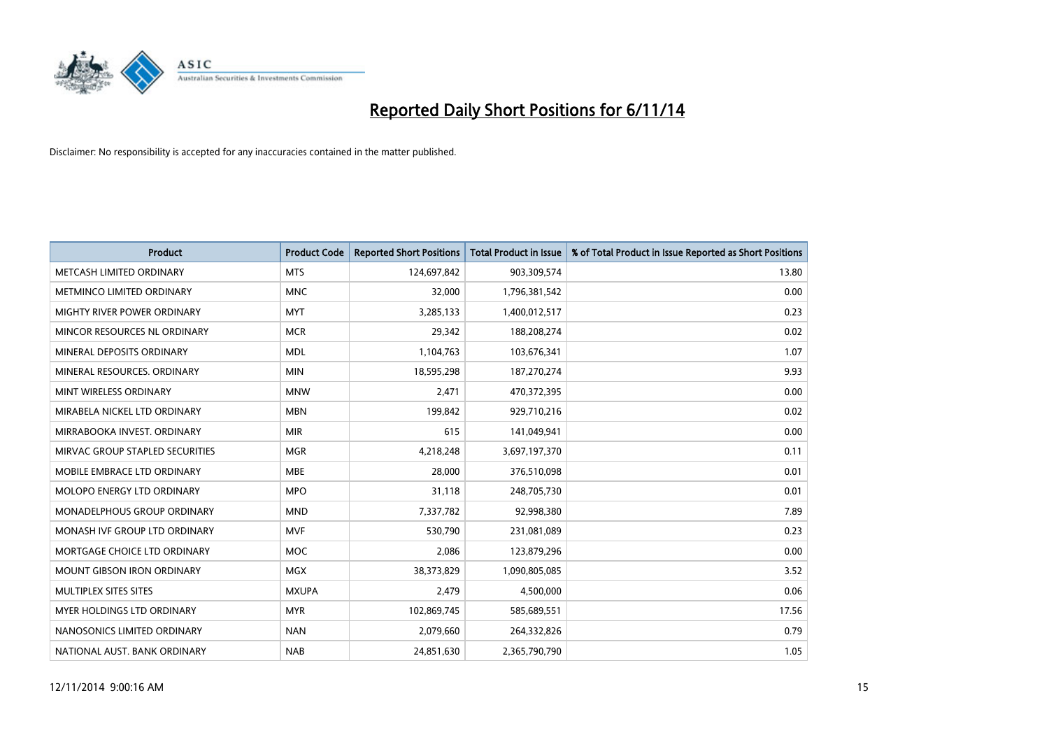

| <b>Product</b>                     | <b>Product Code</b> | <b>Reported Short Positions</b> | <b>Total Product in Issue</b> | % of Total Product in Issue Reported as Short Positions |
|------------------------------------|---------------------|---------------------------------|-------------------------------|---------------------------------------------------------|
| METCASH LIMITED ORDINARY           | <b>MTS</b>          | 124,697,842                     | 903,309,574                   | 13.80                                                   |
| METMINCO LIMITED ORDINARY          | <b>MNC</b>          | 32,000                          | 1,796,381,542                 | 0.00                                                    |
| <b>MIGHTY RIVER POWER ORDINARY</b> | <b>MYT</b>          | 3,285,133                       | 1,400,012,517                 | 0.23                                                    |
| MINCOR RESOURCES NL ORDINARY       | <b>MCR</b>          | 29,342                          | 188,208,274                   | 0.02                                                    |
| MINERAL DEPOSITS ORDINARY          | <b>MDL</b>          | 1,104,763                       | 103,676,341                   | 1.07                                                    |
| MINERAL RESOURCES, ORDINARY        | <b>MIN</b>          | 18,595,298                      | 187,270,274                   | 9.93                                                    |
| MINT WIRELESS ORDINARY             | <b>MNW</b>          | 2,471                           | 470,372,395                   | 0.00                                                    |
| MIRABELA NICKEL LTD ORDINARY       | <b>MBN</b>          | 199,842                         | 929,710,216                   | 0.02                                                    |
| MIRRABOOKA INVEST, ORDINARY        | <b>MIR</b>          | 615                             | 141,049,941                   | 0.00                                                    |
| MIRVAC GROUP STAPLED SECURITIES    | <b>MGR</b>          | 4,218,248                       | 3,697,197,370                 | 0.11                                                    |
| MOBILE EMBRACE LTD ORDINARY        | <b>MBE</b>          | 28,000                          | 376,510,098                   | 0.01                                                    |
| MOLOPO ENERGY LTD ORDINARY         | <b>MPO</b>          | 31,118                          | 248,705,730                   | 0.01                                                    |
| <b>MONADELPHOUS GROUP ORDINARY</b> | <b>MND</b>          | 7,337,782                       | 92,998,380                    | 7.89                                                    |
| MONASH IVF GROUP LTD ORDINARY      | MVF                 | 530,790                         | 231,081,089                   | 0.23                                                    |
| MORTGAGE CHOICE LTD ORDINARY       | MOC                 | 2,086                           | 123,879,296                   | 0.00                                                    |
| <b>MOUNT GIBSON IRON ORDINARY</b>  | <b>MGX</b>          | 38,373,829                      | 1,090,805,085                 | 3.52                                                    |
| MULTIPLEX SITES SITES              | <b>MXUPA</b>        | 2,479                           | 4,500,000                     | 0.06                                                    |
| <b>MYER HOLDINGS LTD ORDINARY</b>  | <b>MYR</b>          | 102,869,745                     | 585,689,551                   | 17.56                                                   |
| NANOSONICS LIMITED ORDINARY        | <b>NAN</b>          | 2,079,660                       | 264,332,826                   | 0.79                                                    |
| NATIONAL AUST. BANK ORDINARY       | <b>NAB</b>          | 24,851,630                      | 2,365,790,790                 | 1.05                                                    |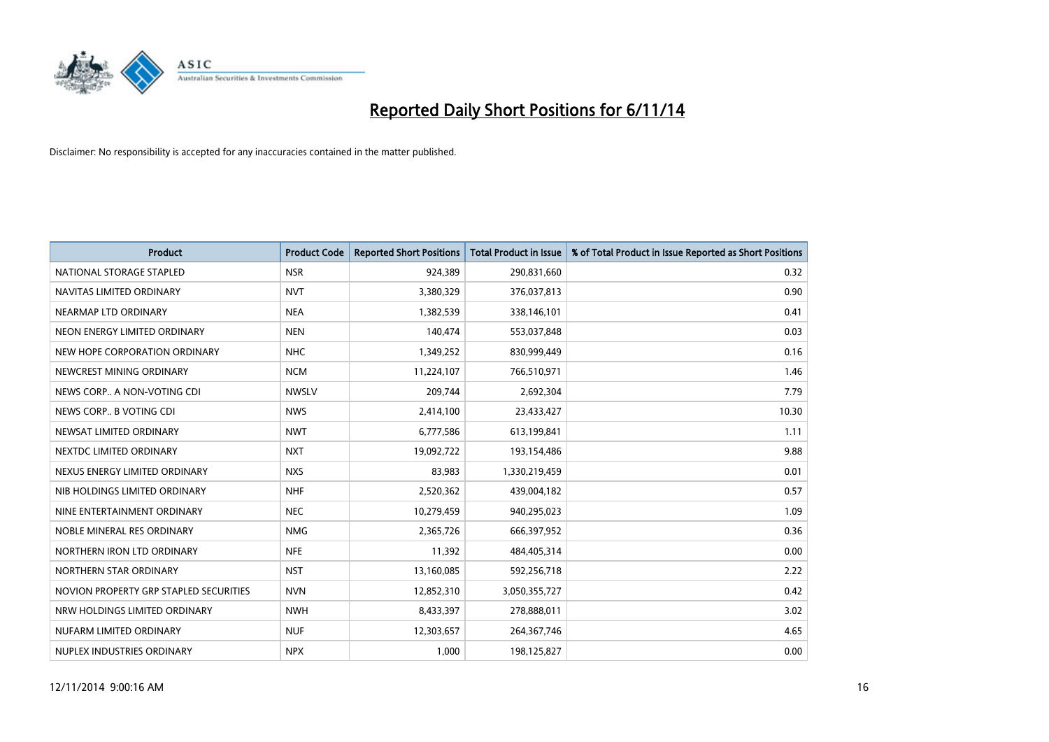

| <b>Product</b>                         | <b>Product Code</b> | <b>Reported Short Positions</b> | <b>Total Product in Issue</b> | % of Total Product in Issue Reported as Short Positions |
|----------------------------------------|---------------------|---------------------------------|-------------------------------|---------------------------------------------------------|
| NATIONAL STORAGE STAPLED               | <b>NSR</b>          | 924,389                         | 290,831,660                   | 0.32                                                    |
| NAVITAS LIMITED ORDINARY               | <b>NVT</b>          | 3,380,329                       | 376,037,813                   | 0.90                                                    |
| NEARMAP LTD ORDINARY                   | <b>NEA</b>          | 1,382,539                       | 338,146,101                   | 0.41                                                    |
| NEON ENERGY LIMITED ORDINARY           | <b>NEN</b>          | 140,474                         | 553,037,848                   | 0.03                                                    |
| NEW HOPE CORPORATION ORDINARY          | <b>NHC</b>          | 1,349,252                       | 830,999,449                   | 0.16                                                    |
| NEWCREST MINING ORDINARY               | <b>NCM</b>          | 11,224,107                      | 766,510,971                   | 1.46                                                    |
| NEWS CORP A NON-VOTING CDI             | <b>NWSLV</b>        | 209,744                         | 2,692,304                     | 7.79                                                    |
| NEWS CORP B VOTING CDI                 | <b>NWS</b>          | 2,414,100                       | 23,433,427                    | 10.30                                                   |
| NEWSAT LIMITED ORDINARY                | <b>NWT</b>          | 6,777,586                       | 613,199,841                   | 1.11                                                    |
| NEXTDC LIMITED ORDINARY                | <b>NXT</b>          | 19,092,722                      | 193,154,486                   | 9.88                                                    |
| NEXUS ENERGY LIMITED ORDINARY          | <b>NXS</b>          | 83,983                          | 1,330,219,459                 | 0.01                                                    |
| NIB HOLDINGS LIMITED ORDINARY          | <b>NHF</b>          | 2,520,362                       | 439,004,182                   | 0.57                                                    |
| NINE ENTERTAINMENT ORDINARY            | <b>NEC</b>          | 10,279,459                      | 940,295,023                   | 1.09                                                    |
| NOBLE MINERAL RES ORDINARY             | <b>NMG</b>          | 2,365,726                       | 666,397,952                   | 0.36                                                    |
| NORTHERN IRON LTD ORDINARY             | <b>NFE</b>          | 11,392                          | 484,405,314                   | 0.00                                                    |
| NORTHERN STAR ORDINARY                 | <b>NST</b>          | 13,160,085                      | 592,256,718                   | 2.22                                                    |
| NOVION PROPERTY GRP STAPLED SECURITIES | <b>NVN</b>          | 12,852,310                      | 3,050,355,727                 | 0.42                                                    |
| NRW HOLDINGS LIMITED ORDINARY          | <b>NWH</b>          | 8,433,397                       | 278,888,011                   | 3.02                                                    |
| NUFARM LIMITED ORDINARY                | <b>NUF</b>          | 12,303,657                      | 264,367,746                   | 4.65                                                    |
| NUPLEX INDUSTRIES ORDINARY             | <b>NPX</b>          | 1,000                           | 198,125,827                   | 0.00                                                    |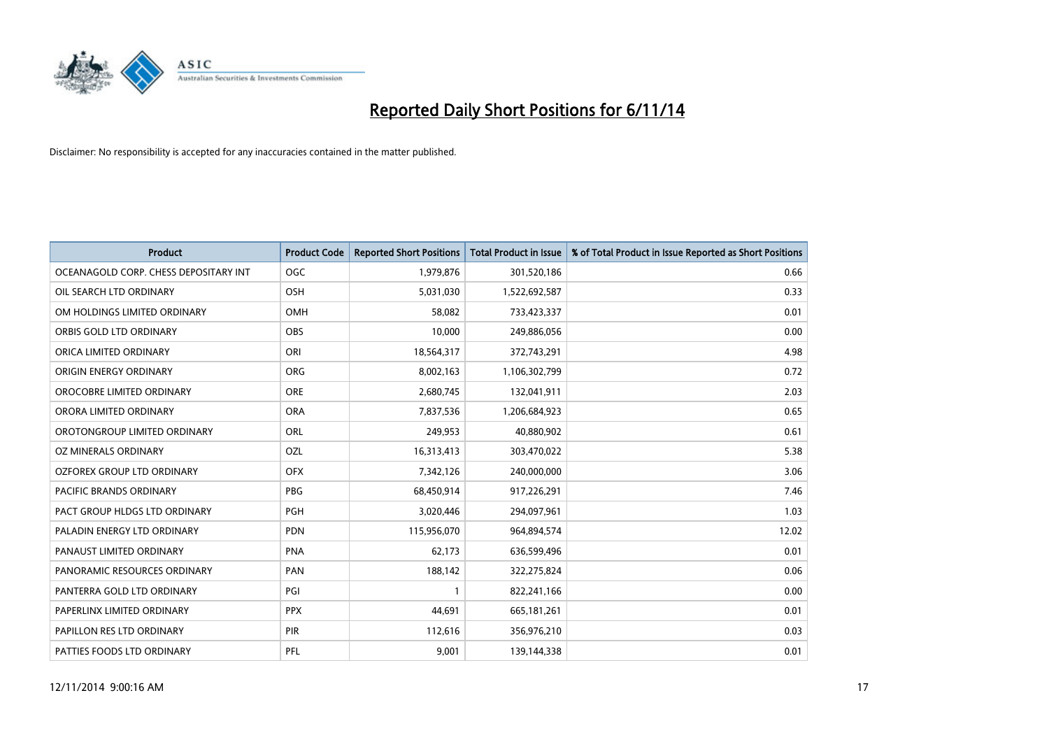

| <b>Product</b>                        | <b>Product Code</b> | <b>Reported Short Positions</b> | <b>Total Product in Issue</b> | % of Total Product in Issue Reported as Short Positions |
|---------------------------------------|---------------------|---------------------------------|-------------------------------|---------------------------------------------------------|
| OCEANAGOLD CORP. CHESS DEPOSITARY INT | <b>OGC</b>          | 1,979,876                       | 301,520,186                   | 0.66                                                    |
| OIL SEARCH LTD ORDINARY               | <b>OSH</b>          | 5,031,030                       | 1,522,692,587                 | 0.33                                                    |
| OM HOLDINGS LIMITED ORDINARY          | OMH                 | 58,082                          | 733,423,337                   | 0.01                                                    |
| ORBIS GOLD LTD ORDINARY               | <b>OBS</b>          | 10,000                          | 249,886,056                   | 0.00                                                    |
| ORICA LIMITED ORDINARY                | ORI                 | 18,564,317                      | 372,743,291                   | 4.98                                                    |
| ORIGIN ENERGY ORDINARY                | <b>ORG</b>          | 8,002,163                       | 1,106,302,799                 | 0.72                                                    |
| OROCOBRE LIMITED ORDINARY             | <b>ORE</b>          | 2,680,745                       | 132,041,911                   | 2.03                                                    |
| ORORA LIMITED ORDINARY                | <b>ORA</b>          | 7,837,536                       | 1,206,684,923                 | 0.65                                                    |
| OROTONGROUP LIMITED ORDINARY          | ORL                 | 249,953                         | 40,880,902                    | 0.61                                                    |
| <b>OZ MINERALS ORDINARY</b>           | <b>OZL</b>          | 16,313,413                      | 303,470,022                   | 5.38                                                    |
| OZFOREX GROUP LTD ORDINARY            | <b>OFX</b>          | 7,342,126                       | 240,000,000                   | 3.06                                                    |
| PACIFIC BRANDS ORDINARY               | <b>PBG</b>          | 68,450,914                      | 917,226,291                   | 7.46                                                    |
| PACT GROUP HLDGS LTD ORDINARY         | PGH                 | 3,020,446                       | 294,097,961                   | 1.03                                                    |
| PALADIN ENERGY LTD ORDINARY           | <b>PDN</b>          | 115,956,070                     | 964,894,574                   | 12.02                                                   |
| PANAUST LIMITED ORDINARY              | <b>PNA</b>          | 62,173                          | 636,599,496                   | 0.01                                                    |
| PANORAMIC RESOURCES ORDINARY          | PAN                 | 188,142                         | 322,275,824                   | 0.06                                                    |
| PANTERRA GOLD LTD ORDINARY            | PGI                 | $\mathbf{1}$                    | 822,241,166                   | 0.00                                                    |
| PAPERLINX LIMITED ORDINARY            | <b>PPX</b>          | 44,691                          | 665,181,261                   | 0.01                                                    |
| PAPILLON RES LTD ORDINARY             | <b>PIR</b>          | 112,616                         | 356,976,210                   | 0.03                                                    |
| PATTIES FOODS LTD ORDINARY            | PFL                 | 9,001                           | 139,144,338                   | 0.01                                                    |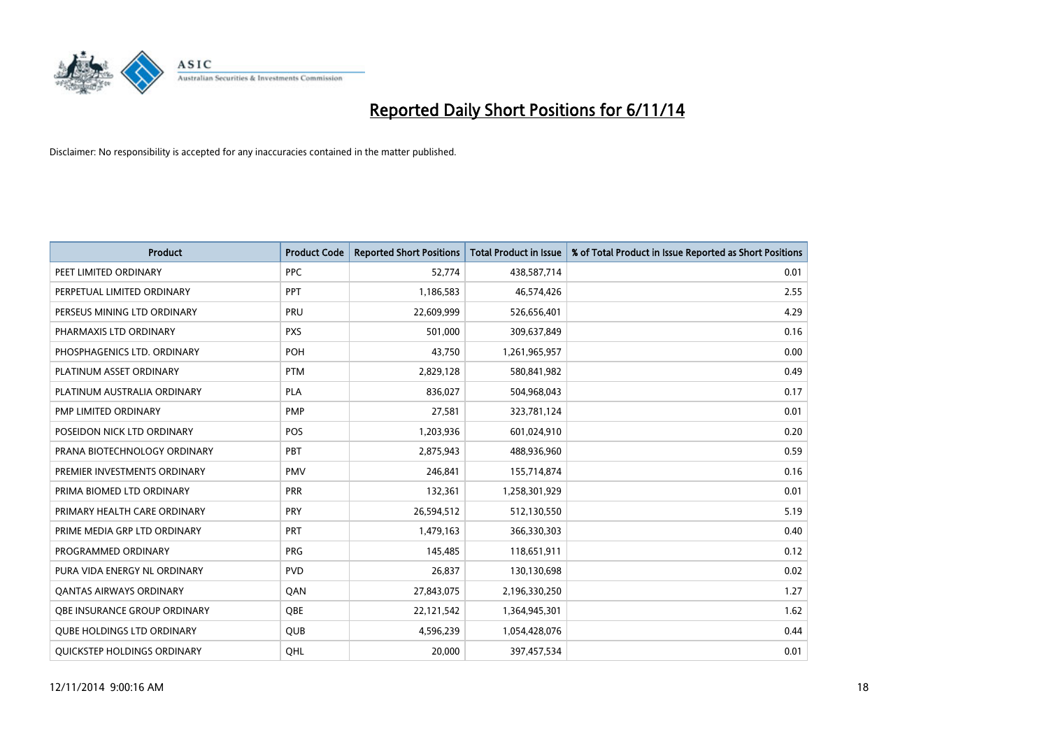

| <b>Product</b>                      | <b>Product Code</b> | <b>Reported Short Positions</b> | <b>Total Product in Issue</b> | % of Total Product in Issue Reported as Short Positions |
|-------------------------------------|---------------------|---------------------------------|-------------------------------|---------------------------------------------------------|
| PEET LIMITED ORDINARY               | <b>PPC</b>          | 52,774                          | 438,587,714                   | 0.01                                                    |
| PERPETUAL LIMITED ORDINARY          | <b>PPT</b>          | 1,186,583                       | 46,574,426                    | 2.55                                                    |
| PERSEUS MINING LTD ORDINARY         | <b>PRU</b>          | 22,609,999                      | 526,656,401                   | 4.29                                                    |
| PHARMAXIS LTD ORDINARY              | <b>PXS</b>          | 501,000                         | 309,637,849                   | 0.16                                                    |
| PHOSPHAGENICS LTD. ORDINARY         | <b>POH</b>          | 43,750                          | 1,261,965,957                 | 0.00                                                    |
| PLATINUM ASSET ORDINARY             | <b>PTM</b>          | 2,829,128                       | 580,841,982                   | 0.49                                                    |
| PLATINUM AUSTRALIA ORDINARY         | <b>PLA</b>          | 836,027                         | 504,968,043                   | 0.17                                                    |
| PMP LIMITED ORDINARY                | <b>PMP</b>          | 27,581                          | 323,781,124                   | 0.01                                                    |
| POSEIDON NICK LTD ORDINARY          | <b>POS</b>          | 1,203,936                       | 601,024,910                   | 0.20                                                    |
| PRANA BIOTECHNOLOGY ORDINARY        | PBT                 | 2,875,943                       | 488,936,960                   | 0.59                                                    |
| PREMIER INVESTMENTS ORDINARY        | <b>PMV</b>          | 246,841                         | 155,714,874                   | 0.16                                                    |
| PRIMA BIOMED LTD ORDINARY           | <b>PRR</b>          | 132,361                         | 1,258,301,929                 | 0.01                                                    |
| PRIMARY HEALTH CARE ORDINARY        | <b>PRY</b>          | 26,594,512                      | 512,130,550                   | 5.19                                                    |
| PRIME MEDIA GRP LTD ORDINARY        | PRT                 | 1,479,163                       | 366,330,303                   | 0.40                                                    |
| PROGRAMMED ORDINARY                 | <b>PRG</b>          | 145,485                         | 118,651,911                   | 0.12                                                    |
| PURA VIDA ENERGY NL ORDINARY        | <b>PVD</b>          | 26,837                          | 130,130,698                   | 0.02                                                    |
| <b>QANTAS AIRWAYS ORDINARY</b>      | QAN                 | 27,843,075                      | 2,196,330,250                 | 1.27                                                    |
| <b>OBE INSURANCE GROUP ORDINARY</b> | QBE                 | 22,121,542                      | 1,364,945,301                 | 1.62                                                    |
| <b>QUBE HOLDINGS LTD ORDINARY</b>   | <b>QUB</b>          | 4,596,239                       | 1,054,428,076                 | 0.44                                                    |
| QUICKSTEP HOLDINGS ORDINARY         | OHL                 | 20,000                          | 397,457,534                   | 0.01                                                    |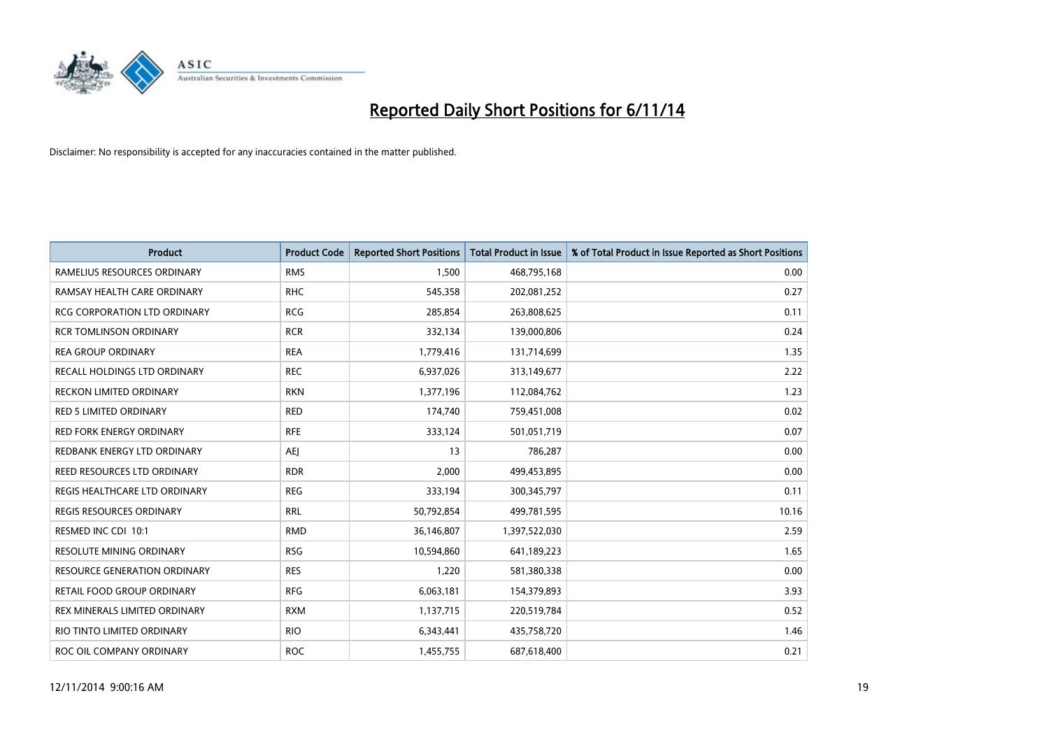

| <b>Product</b>                      | <b>Product Code</b> | <b>Reported Short Positions</b> | <b>Total Product in Issue</b> | % of Total Product in Issue Reported as Short Positions |
|-------------------------------------|---------------------|---------------------------------|-------------------------------|---------------------------------------------------------|
| RAMELIUS RESOURCES ORDINARY         | <b>RMS</b>          | 1,500                           | 468,795,168                   | 0.00                                                    |
| RAMSAY HEALTH CARE ORDINARY         | <b>RHC</b>          | 545,358                         | 202,081,252                   | 0.27                                                    |
| <b>RCG CORPORATION LTD ORDINARY</b> | <b>RCG</b>          | 285,854                         | 263,808,625                   | 0.11                                                    |
| <b>RCR TOMLINSON ORDINARY</b>       | <b>RCR</b>          | 332,134                         | 139,000,806                   | 0.24                                                    |
| <b>REA GROUP ORDINARY</b>           | <b>REA</b>          | 1,779,416                       | 131,714,699                   | 1.35                                                    |
| RECALL HOLDINGS LTD ORDINARY        | <b>REC</b>          | 6,937,026                       | 313,149,677                   | 2.22                                                    |
| <b>RECKON LIMITED ORDINARY</b>      | <b>RKN</b>          | 1,377,196                       | 112,084,762                   | 1.23                                                    |
| RED 5 LIMITED ORDINARY              | <b>RED</b>          | 174,740                         | 759,451,008                   | 0.02                                                    |
| <b>RED FORK ENERGY ORDINARY</b>     | <b>RFE</b>          | 333,124                         | 501,051,719                   | 0.07                                                    |
| REDBANK ENERGY LTD ORDINARY         | AEJ                 | 13                              | 786,287                       | 0.00                                                    |
| REED RESOURCES LTD ORDINARY         | <b>RDR</b>          | 2,000                           | 499,453,895                   | 0.00                                                    |
| REGIS HEALTHCARE LTD ORDINARY       | <b>REG</b>          | 333,194                         | 300,345,797                   | 0.11                                                    |
| REGIS RESOURCES ORDINARY            | <b>RRL</b>          | 50,792,854                      | 499,781,595                   | 10.16                                                   |
| RESMED INC CDI 10:1                 | <b>RMD</b>          | 36,146,807                      | 1,397,522,030                 | 2.59                                                    |
| <b>RESOLUTE MINING ORDINARY</b>     | <b>RSG</b>          | 10,594,860                      | 641,189,223                   | 1.65                                                    |
| RESOURCE GENERATION ORDINARY        | <b>RES</b>          | 1,220                           | 581,380,338                   | 0.00                                                    |
| RETAIL FOOD GROUP ORDINARY          | <b>RFG</b>          | 6,063,181                       | 154,379,893                   | 3.93                                                    |
| REX MINERALS LIMITED ORDINARY       | <b>RXM</b>          | 1,137,715                       | 220,519,784                   | 0.52                                                    |
| RIO TINTO LIMITED ORDINARY          | <b>RIO</b>          | 6,343,441                       | 435,758,720                   | 1.46                                                    |
| ROC OIL COMPANY ORDINARY            | <b>ROC</b>          | 1,455,755                       | 687,618,400                   | 0.21                                                    |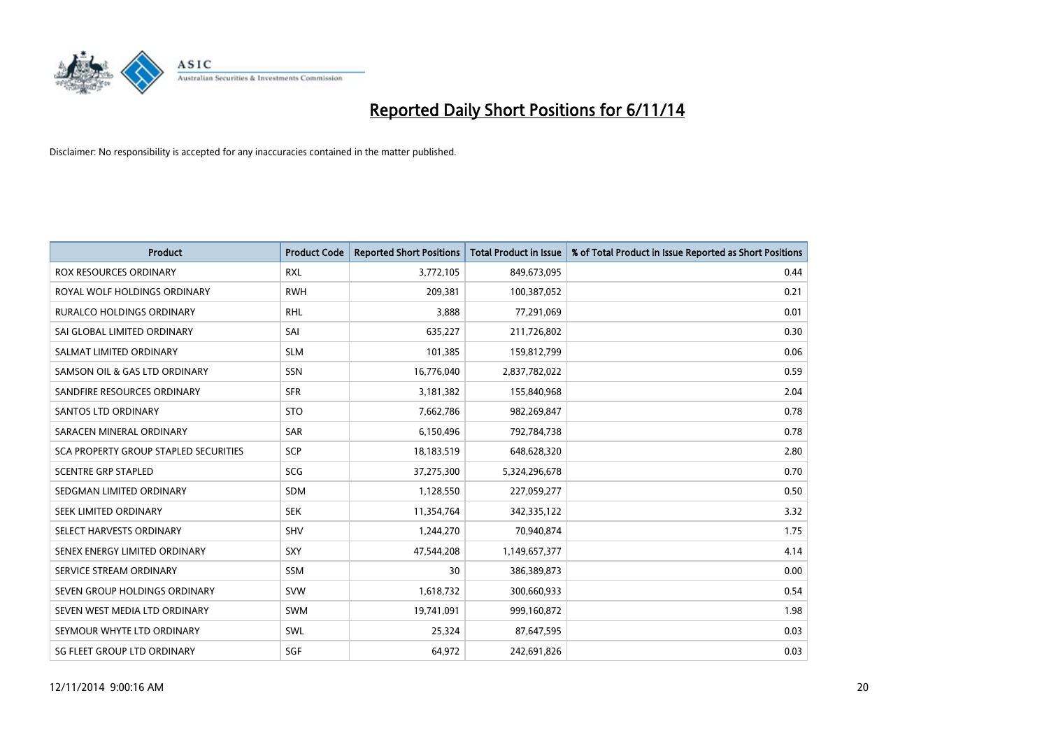

| <b>Product</b>                        | <b>Product Code</b> | <b>Reported Short Positions</b> | <b>Total Product in Issue</b> | % of Total Product in Issue Reported as Short Positions |
|---------------------------------------|---------------------|---------------------------------|-------------------------------|---------------------------------------------------------|
| ROX RESOURCES ORDINARY                | <b>RXL</b>          | 3,772,105                       | 849,673,095                   | 0.44                                                    |
| ROYAL WOLF HOLDINGS ORDINARY          | <b>RWH</b>          | 209,381                         | 100,387,052                   | 0.21                                                    |
| <b>RURALCO HOLDINGS ORDINARY</b>      | <b>RHL</b>          | 3,888                           | 77,291,069                    | 0.01                                                    |
| SAI GLOBAL LIMITED ORDINARY           | SAI                 | 635,227                         | 211,726,802                   | 0.30                                                    |
| SALMAT LIMITED ORDINARY               | <b>SLM</b>          | 101,385                         | 159,812,799                   | 0.06                                                    |
| SAMSON OIL & GAS LTD ORDINARY         | SSN                 | 16,776,040                      | 2,837,782,022                 | 0.59                                                    |
| SANDFIRE RESOURCES ORDINARY           | <b>SFR</b>          | 3,181,382                       | 155,840,968                   | 2.04                                                    |
| <b>SANTOS LTD ORDINARY</b>            | <b>STO</b>          | 7,662,786                       | 982,269,847                   | 0.78                                                    |
| SARACEN MINERAL ORDINARY              | SAR                 | 6,150,496                       | 792,784,738                   | 0.78                                                    |
| SCA PROPERTY GROUP STAPLED SECURITIES | SCP                 | 18,183,519                      | 648,628,320                   | 2.80                                                    |
| <b>SCENTRE GRP STAPLED</b>            | <b>SCG</b>          | 37,275,300                      | 5,324,296,678                 | 0.70                                                    |
| SEDGMAN LIMITED ORDINARY              | SDM                 | 1,128,550                       | 227,059,277                   | 0.50                                                    |
| SEEK LIMITED ORDINARY                 | <b>SEK</b>          | 11,354,764                      | 342,335,122                   | 3.32                                                    |
| SELECT HARVESTS ORDINARY              | SHV                 | 1,244,270                       | 70,940,874                    | 1.75                                                    |
| SENEX ENERGY LIMITED ORDINARY         | SXY                 | 47,544,208                      | 1,149,657,377                 | 4.14                                                    |
| SERVICE STREAM ORDINARY               | <b>SSM</b>          | 30                              | 386,389,873                   | 0.00                                                    |
| SEVEN GROUP HOLDINGS ORDINARY         | <b>SVW</b>          | 1,618,732                       | 300,660,933                   | 0.54                                                    |
| SEVEN WEST MEDIA LTD ORDINARY         | SWM                 | 19,741,091                      | 999,160,872                   | 1.98                                                    |
| SEYMOUR WHYTE LTD ORDINARY            | SWL                 | 25,324                          | 87,647,595                    | 0.03                                                    |
| SG FLEET GROUP LTD ORDINARY           | SGF                 | 64,972                          | 242,691,826                   | 0.03                                                    |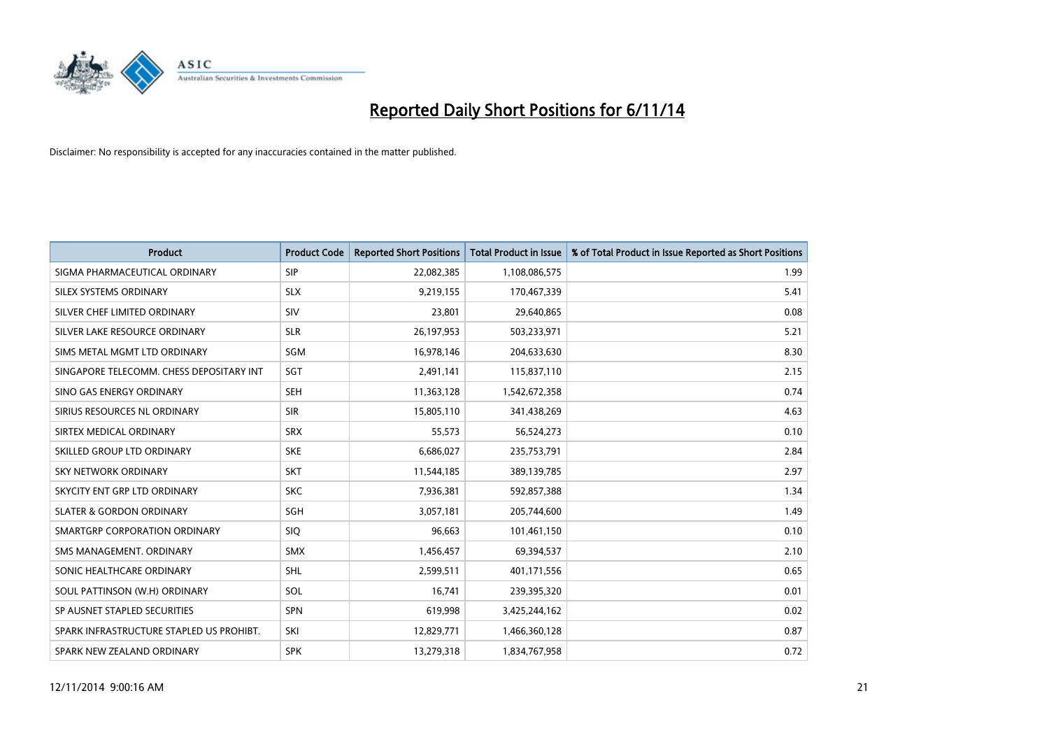

| <b>Product</b>                           | <b>Product Code</b> | <b>Reported Short Positions</b> | <b>Total Product in Issue</b> | % of Total Product in Issue Reported as Short Positions |
|------------------------------------------|---------------------|---------------------------------|-------------------------------|---------------------------------------------------------|
| SIGMA PHARMACEUTICAL ORDINARY            | <b>SIP</b>          | 22,082,385                      | 1,108,086,575                 | 1.99                                                    |
| SILEX SYSTEMS ORDINARY                   | <b>SLX</b>          | 9,219,155                       | 170,467,339                   | 5.41                                                    |
| SILVER CHEF LIMITED ORDINARY             | SIV                 | 23,801                          | 29,640,865                    | 0.08                                                    |
| SILVER LAKE RESOURCE ORDINARY            | <b>SLR</b>          | 26,197,953                      | 503,233,971                   | 5.21                                                    |
| SIMS METAL MGMT LTD ORDINARY             | SGM                 | 16,978,146                      | 204,633,630                   | 8.30                                                    |
| SINGAPORE TELECOMM. CHESS DEPOSITARY INT | SGT                 | 2,491,141                       | 115,837,110                   | 2.15                                                    |
| SINO GAS ENERGY ORDINARY                 | <b>SEH</b>          | 11,363,128                      | 1,542,672,358                 | 0.74                                                    |
| SIRIUS RESOURCES NL ORDINARY             | <b>SIR</b>          | 15,805,110                      | 341,438,269                   | 4.63                                                    |
| SIRTEX MEDICAL ORDINARY                  | <b>SRX</b>          | 55,573                          | 56,524,273                    | 0.10                                                    |
| SKILLED GROUP LTD ORDINARY               | <b>SKE</b>          | 6,686,027                       | 235,753,791                   | 2.84                                                    |
| SKY NETWORK ORDINARY                     | <b>SKT</b>          | 11,544,185                      | 389,139,785                   | 2.97                                                    |
| SKYCITY ENT GRP LTD ORDINARY             | <b>SKC</b>          | 7,936,381                       | 592,857,388                   | 1.34                                                    |
| <b>SLATER &amp; GORDON ORDINARY</b>      | SGH                 | 3,057,181                       | 205,744,600                   | 1.49                                                    |
| SMARTGRP CORPORATION ORDINARY            | <b>SIQ</b>          | 96,663                          | 101,461,150                   | 0.10                                                    |
| SMS MANAGEMENT, ORDINARY                 | <b>SMX</b>          | 1,456,457                       | 69,394,537                    | 2.10                                                    |
| SONIC HEALTHCARE ORDINARY                | <b>SHL</b>          | 2,599,511                       | 401,171,556                   | 0.65                                                    |
| SOUL PATTINSON (W.H) ORDINARY            | SOL                 | 16,741                          | 239,395,320                   | 0.01                                                    |
| SP AUSNET STAPLED SECURITIES             | <b>SPN</b>          | 619,998                         | 3,425,244,162                 | 0.02                                                    |
| SPARK INFRASTRUCTURE STAPLED US PROHIBT. | SKI                 | 12,829,771                      | 1,466,360,128                 | 0.87                                                    |
| SPARK NEW ZEALAND ORDINARY               | <b>SPK</b>          | 13,279,318                      | 1,834,767,958                 | 0.72                                                    |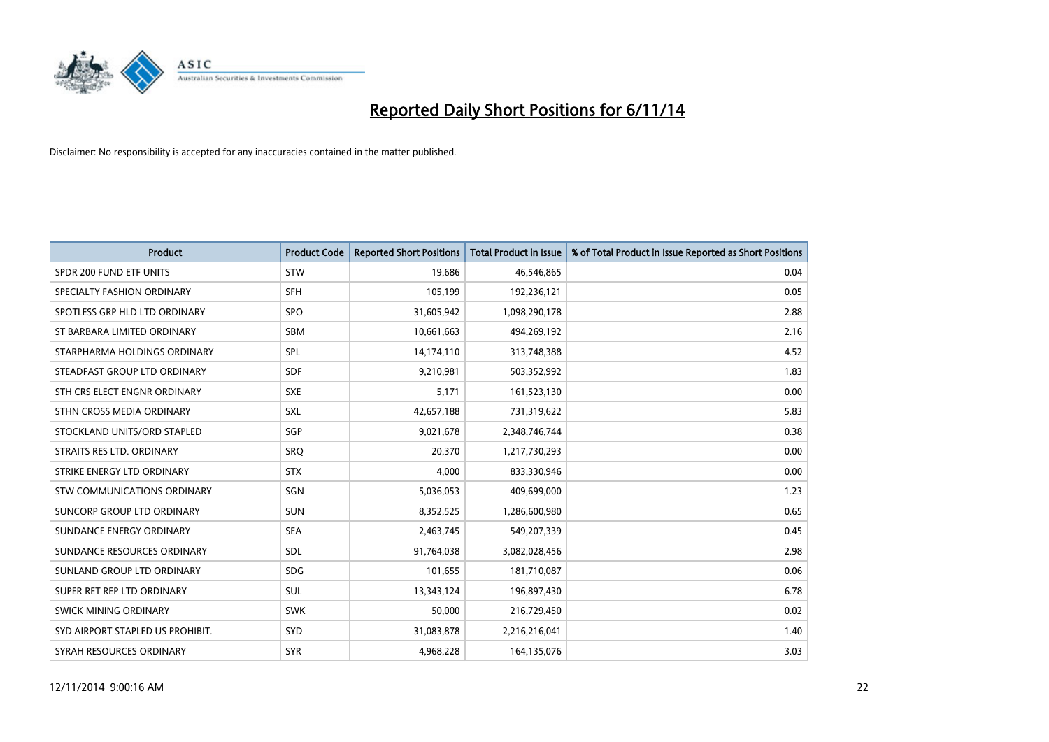

| <b>Product</b>                   | <b>Product Code</b> | <b>Reported Short Positions</b> | <b>Total Product in Issue</b> | % of Total Product in Issue Reported as Short Positions |
|----------------------------------|---------------------|---------------------------------|-------------------------------|---------------------------------------------------------|
| SPDR 200 FUND ETF UNITS          | <b>STW</b>          | 19,686                          | 46,546,865                    | 0.04                                                    |
| SPECIALTY FASHION ORDINARY       | <b>SFH</b>          | 105,199                         | 192,236,121                   | 0.05                                                    |
| SPOTLESS GRP HLD LTD ORDINARY    | <b>SPO</b>          | 31,605,942                      | 1,098,290,178                 | 2.88                                                    |
| ST BARBARA LIMITED ORDINARY      | <b>SBM</b>          | 10,661,663                      | 494,269,192                   | 2.16                                                    |
| STARPHARMA HOLDINGS ORDINARY     | SPL                 | 14,174,110                      | 313,748,388                   | 4.52                                                    |
| STEADFAST GROUP LTD ORDINARY     | <b>SDF</b>          | 9,210,981                       | 503,352,992                   | 1.83                                                    |
| STH CRS ELECT ENGNR ORDINARY     | <b>SXE</b>          | 5,171                           | 161,523,130                   | 0.00                                                    |
| STHN CROSS MEDIA ORDINARY        | SXL                 | 42,657,188                      | 731,319,622                   | 5.83                                                    |
| STOCKLAND UNITS/ORD STAPLED      | SGP                 | 9,021,678                       | 2,348,746,744                 | 0.38                                                    |
| STRAITS RES LTD. ORDINARY        | <b>SRO</b>          | 20,370                          | 1,217,730,293                 | 0.00                                                    |
| STRIKE ENERGY LTD ORDINARY       | <b>STX</b>          | 4,000                           | 833,330,946                   | 0.00                                                    |
| STW COMMUNICATIONS ORDINARY      | SGN                 | 5,036,053                       | 409,699,000                   | 1.23                                                    |
| SUNCORP GROUP LTD ORDINARY       | <b>SUN</b>          | 8,352,525                       | 1,286,600,980                 | 0.65                                                    |
| SUNDANCE ENERGY ORDINARY         | <b>SEA</b>          | 2,463,745                       | 549,207,339                   | 0.45                                                    |
| SUNDANCE RESOURCES ORDINARY      | SDL                 | 91,764,038                      | 3,082,028,456                 | 2.98                                                    |
| SUNLAND GROUP LTD ORDINARY       | <b>SDG</b>          | 101,655                         | 181,710,087                   | 0.06                                                    |
| SUPER RET REP LTD ORDINARY       | SUL                 | 13,343,124                      | 196,897,430                   | 6.78                                                    |
| SWICK MINING ORDINARY            | <b>SWK</b>          | 50,000                          | 216,729,450                   | 0.02                                                    |
| SYD AIRPORT STAPLED US PROHIBIT. | <b>SYD</b>          | 31,083,878                      | 2,216,216,041                 | 1.40                                                    |
| SYRAH RESOURCES ORDINARY         | <b>SYR</b>          | 4,968,228                       | 164,135,076                   | 3.03                                                    |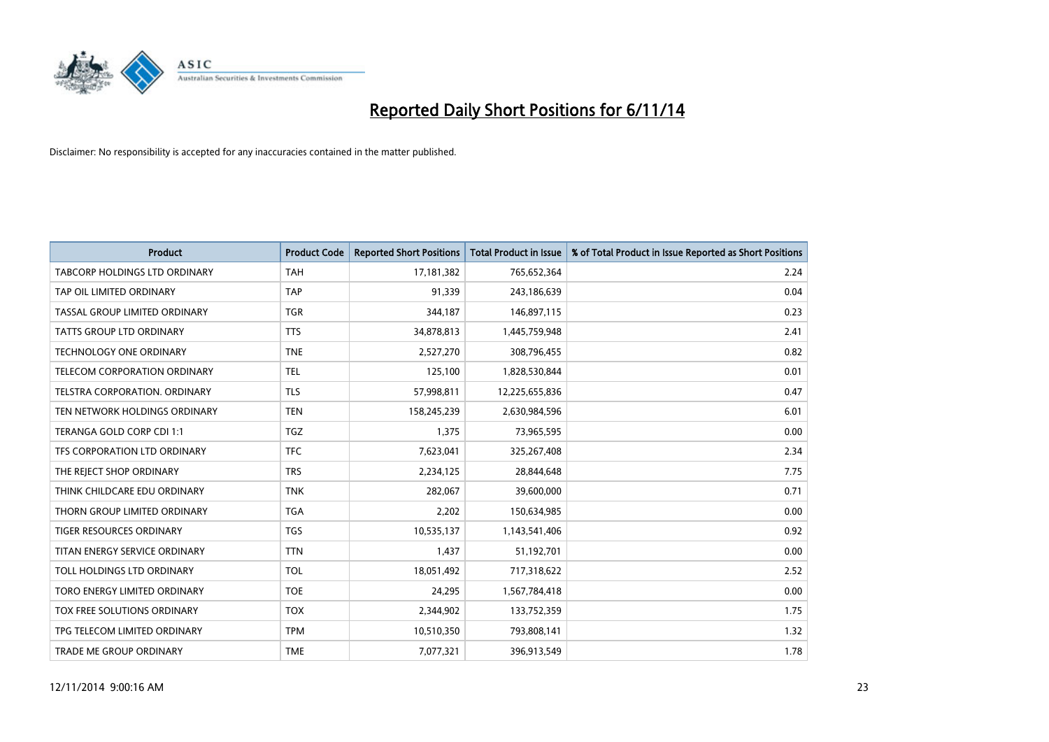

| <b>Product</b>                      | <b>Product Code</b> | <b>Reported Short Positions</b> | <b>Total Product in Issue</b> | % of Total Product in Issue Reported as Short Positions |
|-------------------------------------|---------------------|---------------------------------|-------------------------------|---------------------------------------------------------|
| TABCORP HOLDINGS LTD ORDINARY       | <b>TAH</b>          | 17,181,382                      | 765,652,364                   | 2.24                                                    |
| TAP OIL LIMITED ORDINARY            | <b>TAP</b>          | 91,339                          | 243,186,639                   | 0.04                                                    |
| TASSAL GROUP LIMITED ORDINARY       | <b>TGR</b>          | 344,187                         | 146,897,115                   | 0.23                                                    |
| TATTS GROUP LTD ORDINARY            | <b>TTS</b>          | 34,878,813                      | 1,445,759,948                 | 2.41                                                    |
| <b>TECHNOLOGY ONE ORDINARY</b>      | <b>TNE</b>          | 2,527,270                       | 308,796,455                   | 0.82                                                    |
| <b>TELECOM CORPORATION ORDINARY</b> | <b>TEL</b>          | 125,100                         | 1,828,530,844                 | 0.01                                                    |
| TELSTRA CORPORATION, ORDINARY       | TLS                 | 57,998,811                      | 12,225,655,836                | 0.47                                                    |
| TEN NETWORK HOLDINGS ORDINARY       | <b>TEN</b>          | 158,245,239                     | 2,630,984,596                 | 6.01                                                    |
| TERANGA GOLD CORP CDI 1:1           | <b>TGZ</b>          | 1,375                           | 73,965,595                    | 0.00                                                    |
| TFS CORPORATION LTD ORDINARY        | <b>TFC</b>          | 7,623,041                       | 325,267,408                   | 2.34                                                    |
| THE REJECT SHOP ORDINARY            | <b>TRS</b>          | 2,234,125                       | 28,844,648                    | 7.75                                                    |
| THINK CHILDCARE EDU ORDINARY        | <b>TNK</b>          | 282,067                         | 39,600,000                    | 0.71                                                    |
| THORN GROUP LIMITED ORDINARY        | <b>TGA</b>          | 2,202                           | 150,634,985                   | 0.00                                                    |
| TIGER RESOURCES ORDINARY            | TGS                 | 10,535,137                      | 1,143,541,406                 | 0.92                                                    |
| TITAN ENERGY SERVICE ORDINARY       | <b>TTN</b>          | 1,437                           | 51,192,701                    | 0.00                                                    |
| TOLL HOLDINGS LTD ORDINARY          | <b>TOL</b>          | 18,051,492                      | 717,318,622                   | 2.52                                                    |
| TORO ENERGY LIMITED ORDINARY        | <b>TOE</b>          | 24,295                          | 1,567,784,418                 | 0.00                                                    |
| TOX FREE SOLUTIONS ORDINARY         | <b>TOX</b>          | 2,344,902                       | 133,752,359                   | 1.75                                                    |
| TPG TELECOM LIMITED ORDINARY        | <b>TPM</b>          | 10,510,350                      | 793,808,141                   | 1.32                                                    |
| TRADE ME GROUP ORDINARY             | <b>TME</b>          | 7,077,321                       | 396,913,549                   | 1.78                                                    |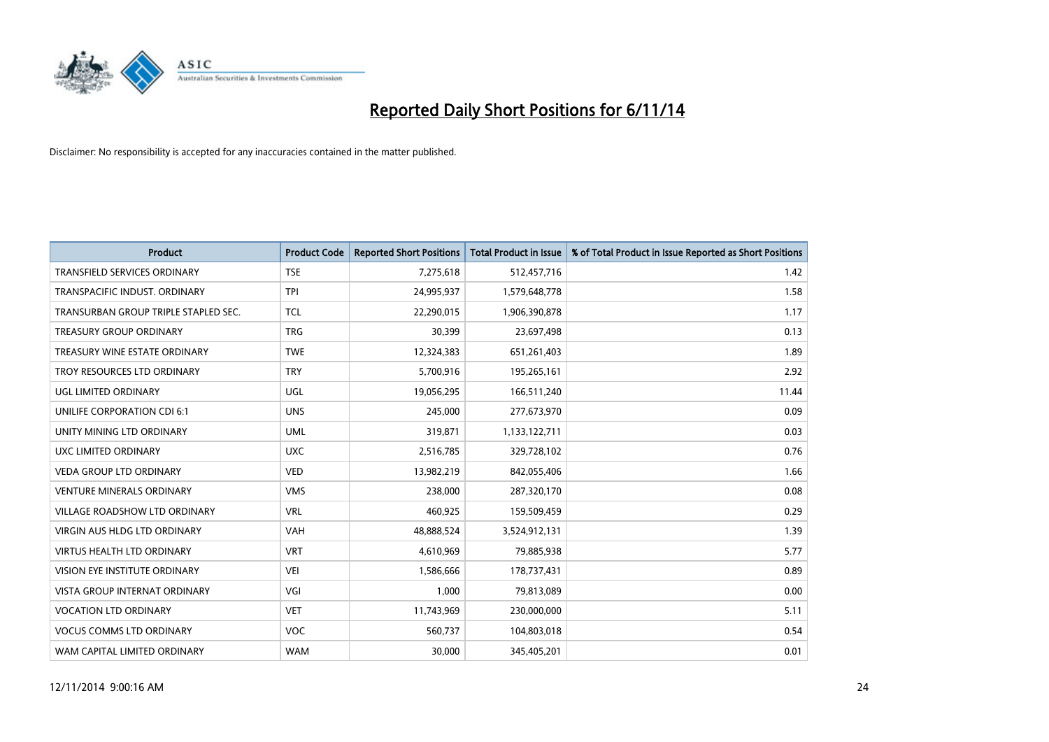

| <b>Product</b>                       | <b>Product Code</b> | <b>Reported Short Positions</b> | <b>Total Product in Issue</b> | % of Total Product in Issue Reported as Short Positions |
|--------------------------------------|---------------------|---------------------------------|-------------------------------|---------------------------------------------------------|
| <b>TRANSFIELD SERVICES ORDINARY</b>  | <b>TSE</b>          | 7,275,618                       | 512,457,716                   | 1.42                                                    |
| TRANSPACIFIC INDUST. ORDINARY        | <b>TPI</b>          | 24,995,937                      | 1,579,648,778                 | 1.58                                                    |
| TRANSURBAN GROUP TRIPLE STAPLED SEC. | <b>TCL</b>          | 22,290,015                      | 1,906,390,878                 | 1.17                                                    |
| <b>TREASURY GROUP ORDINARY</b>       | <b>TRG</b>          | 30,399                          | 23,697,498                    | 0.13                                                    |
| TREASURY WINE ESTATE ORDINARY        | <b>TWE</b>          | 12,324,383                      | 651,261,403                   | 1.89                                                    |
| TROY RESOURCES LTD ORDINARY          | <b>TRY</b>          | 5,700,916                       | 195,265,161                   | 2.92                                                    |
| UGL LIMITED ORDINARY                 | UGL                 | 19,056,295                      | 166,511,240                   | 11.44                                                   |
| UNILIFE CORPORATION CDI 6:1          | <b>UNS</b>          | 245,000                         | 277,673,970                   | 0.09                                                    |
| UNITY MINING LTD ORDINARY            | <b>UML</b>          | 319,871                         | 1,133,122,711                 | 0.03                                                    |
| <b>UXC LIMITED ORDINARY</b>          | <b>UXC</b>          | 2,516,785                       | 329,728,102                   | 0.76                                                    |
| <b>VEDA GROUP LTD ORDINARY</b>       | <b>VED</b>          | 13,982,219                      | 842,055,406                   | 1.66                                                    |
| <b>VENTURE MINERALS ORDINARY</b>     | <b>VMS</b>          | 238,000                         | 287,320,170                   | 0.08                                                    |
| <b>VILLAGE ROADSHOW LTD ORDINARY</b> | <b>VRL</b>          | 460,925                         | 159,509,459                   | 0.29                                                    |
| <b>VIRGIN AUS HLDG LTD ORDINARY</b>  | <b>VAH</b>          | 48,888,524                      | 3,524,912,131                 | 1.39                                                    |
| <b>VIRTUS HEALTH LTD ORDINARY</b>    | <b>VRT</b>          | 4,610,969                       | 79,885,938                    | 5.77                                                    |
| VISION EYE INSTITUTE ORDINARY        | <b>VEI</b>          | 1,586,666                       | 178,737,431                   | 0.89                                                    |
| VISTA GROUP INTERNAT ORDINARY        | VGI                 | 1,000                           | 79,813,089                    | 0.00                                                    |
| <b>VOCATION LTD ORDINARY</b>         | <b>VET</b>          | 11,743,969                      | 230,000,000                   | 5.11                                                    |
| <b>VOCUS COMMS LTD ORDINARY</b>      | <b>VOC</b>          | 560,737                         | 104,803,018                   | 0.54                                                    |
| WAM CAPITAL LIMITED ORDINARY         | <b>WAM</b>          | 30,000                          | 345,405,201                   | 0.01                                                    |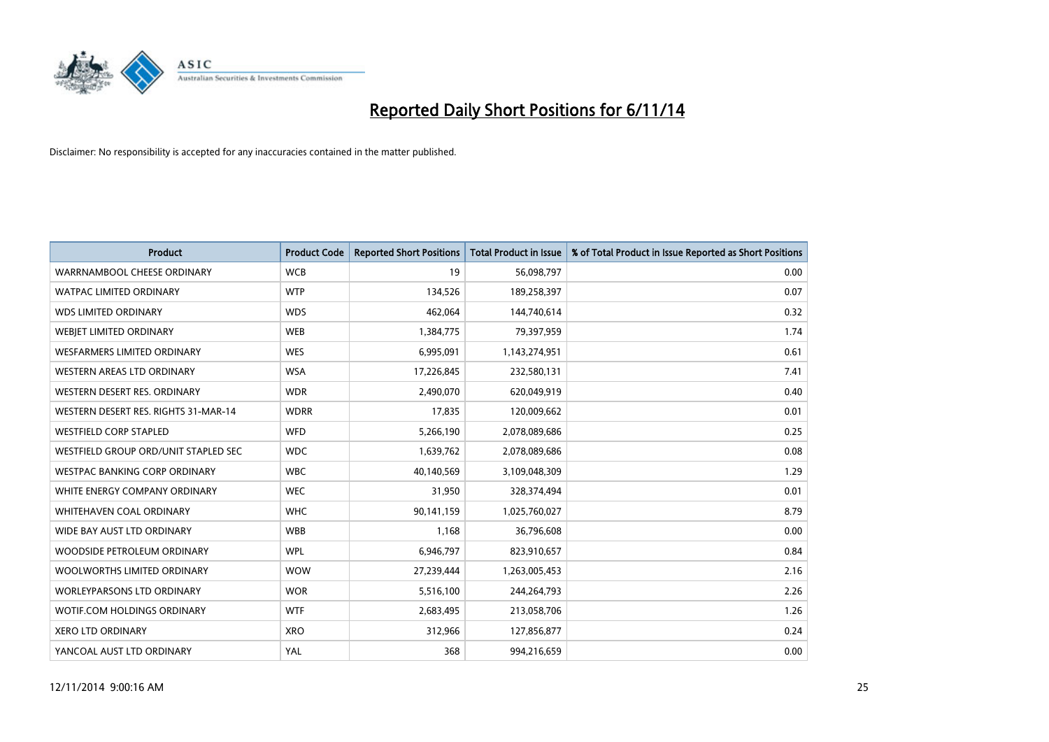

| <b>Product</b>                       | <b>Product Code</b> | <b>Reported Short Positions</b> | <b>Total Product in Issue</b> | % of Total Product in Issue Reported as Short Positions |
|--------------------------------------|---------------------|---------------------------------|-------------------------------|---------------------------------------------------------|
| WARRNAMBOOL CHEESE ORDINARY          | <b>WCB</b>          | 19                              | 56,098,797                    | 0.00                                                    |
| <b>WATPAC LIMITED ORDINARY</b>       | <b>WTP</b>          | 134,526                         | 189,258,397                   | 0.07                                                    |
| <b>WDS LIMITED ORDINARY</b>          | <b>WDS</b>          | 462,064                         | 144,740,614                   | 0.32                                                    |
| WEBJET LIMITED ORDINARY              | <b>WEB</b>          | 1,384,775                       | 79,397,959                    | 1.74                                                    |
| <b>WESFARMERS LIMITED ORDINARY</b>   | <b>WES</b>          | 6,995,091                       | 1,143,274,951                 | 0.61                                                    |
| WESTERN AREAS LTD ORDINARY           | <b>WSA</b>          | 17,226,845                      | 232,580,131                   | 7.41                                                    |
| WESTERN DESERT RES. ORDINARY         | <b>WDR</b>          | 2,490,070                       | 620,049,919                   | 0.40                                                    |
| WESTERN DESERT RES. RIGHTS 31-MAR-14 | <b>WDRR</b>         | 17,835                          | 120,009,662                   | 0.01                                                    |
| <b>WESTFIELD CORP STAPLED</b>        | <b>WFD</b>          | 5,266,190                       | 2,078,089,686                 | 0.25                                                    |
| WESTFIELD GROUP ORD/UNIT STAPLED SEC | <b>WDC</b>          | 1,639,762                       | 2,078,089,686                 | 0.08                                                    |
| <b>WESTPAC BANKING CORP ORDINARY</b> | <b>WBC</b>          | 40,140,569                      | 3,109,048,309                 | 1.29                                                    |
| WHITE ENERGY COMPANY ORDINARY        | <b>WEC</b>          | 31,950                          | 328,374,494                   | 0.01                                                    |
| WHITEHAVEN COAL ORDINARY             | <b>WHC</b>          | 90,141,159                      | 1,025,760,027                 | 8.79                                                    |
| WIDE BAY AUST LTD ORDINARY           | <b>WBB</b>          | 1,168                           | 36,796,608                    | 0.00                                                    |
| WOODSIDE PETROLEUM ORDINARY          | <b>WPL</b>          | 6,946,797                       | 823,910,657                   | 0.84                                                    |
| WOOLWORTHS LIMITED ORDINARY          | <b>WOW</b>          | 27,239,444                      | 1,263,005,453                 | 2.16                                                    |
| WORLEYPARSONS LTD ORDINARY           | <b>WOR</b>          | 5,516,100                       | 244,264,793                   | 2.26                                                    |
| WOTIF.COM HOLDINGS ORDINARY          | <b>WTF</b>          | 2,683,495                       | 213,058,706                   | 1.26                                                    |
| <b>XERO LTD ORDINARY</b>             | <b>XRO</b>          | 312,966                         | 127,856,877                   | 0.24                                                    |
| YANCOAL AUST LTD ORDINARY            | YAL                 | 368                             | 994,216,659                   | 0.00                                                    |